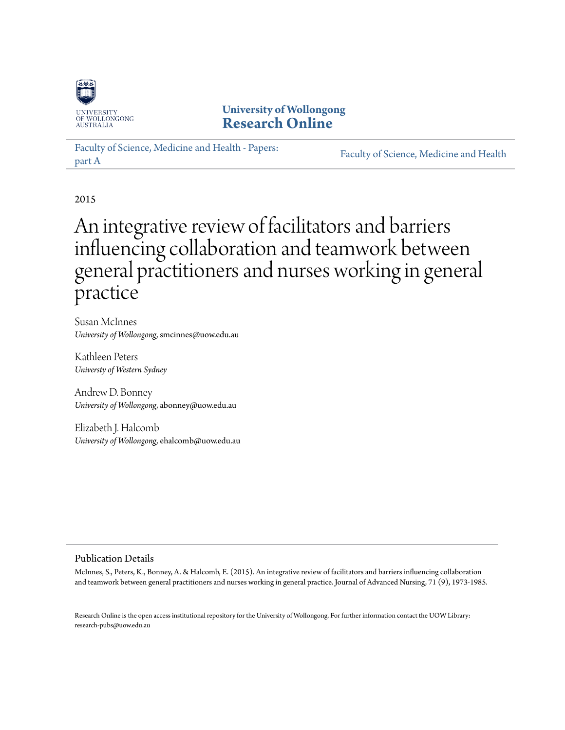

**University of Wollongong [Research Online](https://ro.uow.edu.au)**

[Faculty of Science, Medicine and Health - Papers:](https://ro.uow.edu.au/smhpapers) [part A](https://ro.uow.edu.au/smhpapers) [Faculty of Science, Medicine and Health](https://ro.uow.edu.au/smh)

2015

# An integrative review of facilitators and barriers influencing collaboration and teamwork between general practitioners and nurses working in general practice

Susan McInnes *University of Wollongong*, smcinnes@uow.edu.au

Kathleen Peters *Universty of Western Sydney*

Andrew D. Bonney *University of Wollongong*, abonney@uow.edu.au

Elizabeth J. Halcomb *University of Wollongong*, ehalcomb@uow.edu.au

#### Publication Details

McInnes, S., Peters, K., Bonney, A. & Halcomb, E. (2015). An integrative review of facilitators and barriers influencing collaboration and teamwork between general practitioners and nurses working in general practice. Journal of Advanced Nursing, 71 (9), 1973-1985.

Research Online is the open access institutional repository for the University of Wollongong. For further information contact the UOW Library: research-pubs@uow.edu.au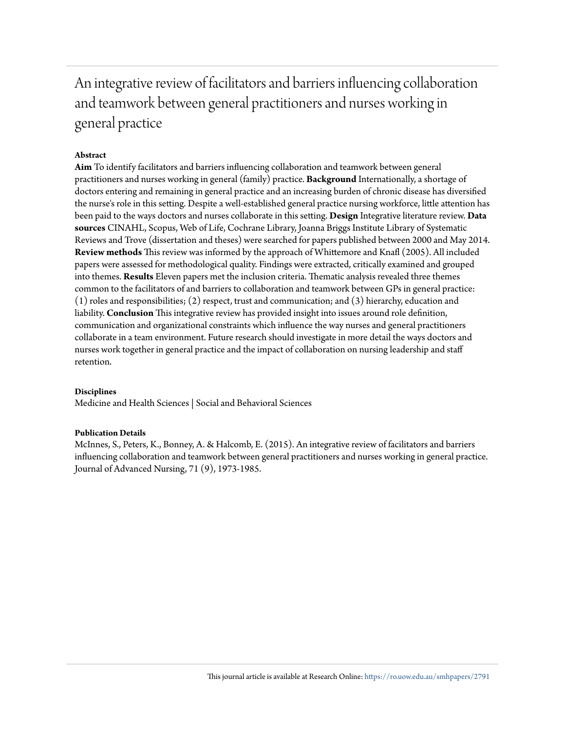An integrative review of facilitators and barriers influencing collaboration and teamwork between general practitioners and nurses working in general practice

#### **Abstract**

**Aim** To identify facilitators and barriers influencing collaboration and teamwork between general practitioners and nurses working in general (family) practice. **Background** Internationally, a shortage of doctors entering and remaining in general practice and an increasing burden of chronic disease has diversified the nurse's role in this setting. Despite a well-established general practice nursing workforce, little attention has been paid to the ways doctors and nurses collaborate in this setting. **Design** Integrative literature review. **Data sources** CINAHL, Scopus, Web of Life, Cochrane Library, Joanna Briggs Institute Library of Systematic Reviews and Trove (dissertation and theses) were searched for papers published between 2000 and May 2014. **Review methods** This review was informed by the approach of Whittemore and Knafl (2005). All included papers were assessed for methodological quality. Findings were extracted, critically examined and grouped into themes. **Results** Eleven papers met the inclusion criteria. Thematic analysis revealed three themes common to the facilitators of and barriers to collaboration and teamwork between GPs in general practice: (1) roles and responsibilities; (2) respect, trust and communication; and (3) hierarchy, education and liability. **Conclusion** This integrative review has provided insight into issues around role definition, communication and organizational constraints which influence the way nurses and general practitioners collaborate in a team environment. Future research should investigate in more detail the ways doctors and nurses work together in general practice and the impact of collaboration on nursing leadership and staff retention.

#### **Disciplines**

Medicine and Health Sciences | Social and Behavioral Sciences

#### **Publication Details**

McInnes, S., Peters, K., Bonney, A. & Halcomb, E. (2015). An integrative review of facilitators and barriers influencing collaboration and teamwork between general practitioners and nurses working in general practice. Journal of Advanced Nursing, 71 (9), 1973-1985.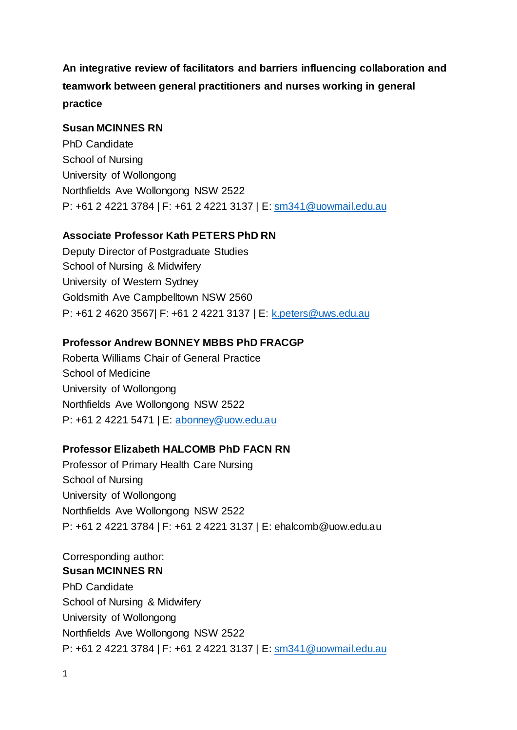**An integrative review of facilitators and barriers influencing collaboration and teamwork between general practitioners and nurses working in general practice**

## **Susan MCINNES RN**

PhD Candidate School of Nursing University of Wollongong Northfields Ave Wollongong NSW 2522 P: +61 2 4221 3784 | F: +61 2 4221 3137 | E: [sm341@uowmail.edu.au](mailto:sm341@uowmail.edu.au)

## **Associate Professor Kath PETERS PhD RN**

Deputy Director of Postgraduate Studies School of Nursing & Midwifery University of Western Sydney Goldsmith Ave Campbelltown NSW 2560 P: +61 2 4620 3567| F: +61 2 4221 3137 | E: [k.peters@uws.edu.au](mailto:k.peters@uws.edu.au)

## **Professor Andrew BONNEY MBBS PhD FRACGP**

Roberta Williams Chair of General Practice School of Medicine University of Wollongong Northfields Ave Wollongong NSW 2522 P: +61 2 4221 5471 | E: [abonney@uow.edu.au](mailto:abonney@uow.edu.au)

## **Professor Elizabeth HALCOMB PhD FACN RN**

Professor of Primary Health Care Nursing School of Nursing University of Wollongong Northfields Ave Wollongong NSW 2522 P: +61 2 4221 3784 | F: +61 2 4221 3137 | E: [ehalcomb@uow.edu.au](mailto:ehalcomb@uow.edu.au)

Corresponding author: **Susan MCINNES RN** PhD Candidate School of Nursing & Midwifery University of Wollongong Northfields Ave Wollongong NSW 2522 P: +61 2 4221 3784 | F: +61 2 4221 3137 | E: [sm341@uowmail.edu.au](mailto:sm341@uowmail.edu.au)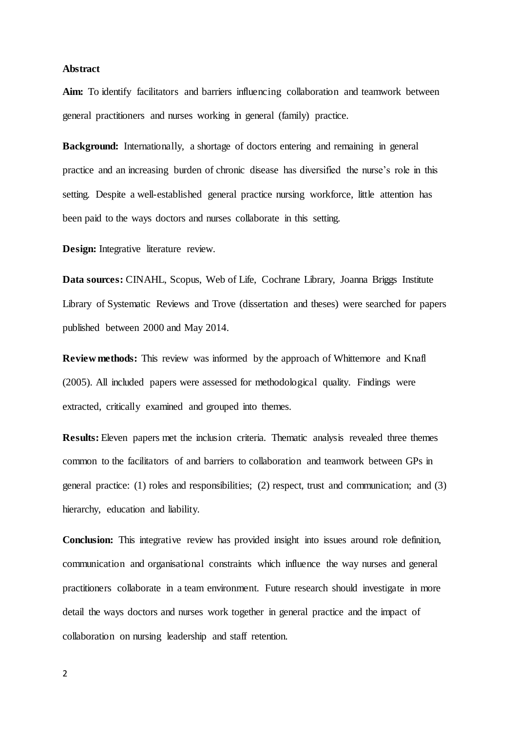#### **Abstract**

**Aim:** To identify facilitators and barriers influencing collaboration and teamwork between general practitioners and nurses working in general (family) practice.

**Background:** Internationally, a shortage of doctors entering and remaining in general practice and an increasing burden of chronic disease has diversified the nurse's role in this setting. Despite a well-established general practice nursing workforce, little attention has been paid to the ways doctors and nurses collaborate in this setting.

**Design:** Integrative literature review.

**Data sources:** CINAHL, Scopus, Web of Life, Cochrane Library, Joanna Briggs Institute Library of Systematic Reviews and Trove (dissertation and theses) were searched for papers published between 2000 and May 2014.

**Review methods:** This review was informed by the approach of Whittemore and Knafl [\(2005\)](#page-32-0). All included papers were assessed for methodological quality. Findings were extracted, critically examined and grouped into themes.

**Results:** Eleven papers met the inclusion criteria. Thematic analysis revealed three themes common to the facilitators of and barriers to collaboration and teamwork between GPs in general practice: (1) roles and responsibilities; (2) respect, trust and communication; and (3) hierarchy, education and liability.

**Conclusion:** This integrative review has provided insight into issues around role definition, communication and organisational constraints which influence the way nurses and general practitioners collaborate in a team environment. Future research should investigate in more detail the ways doctors and nurses work together in general practice and the impact of collaboration on nursing leadership and staff retention.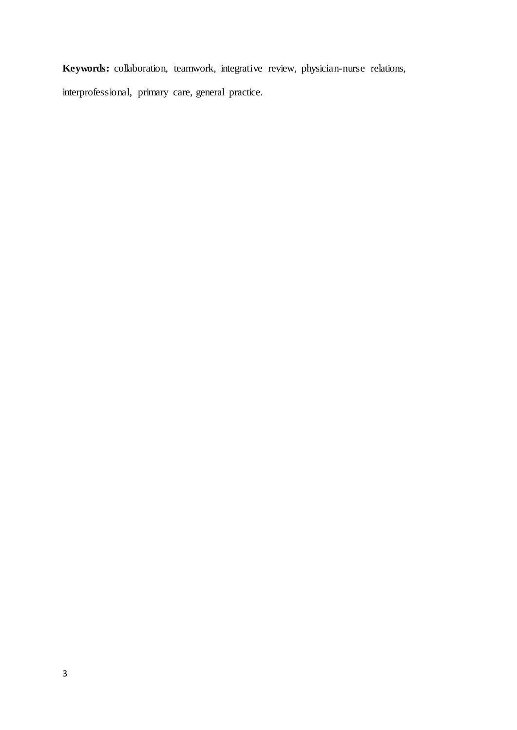**Keywords:** collaboration, teamwork, integrative review, physician-nurse relations, interprofessional, primary care, general practice.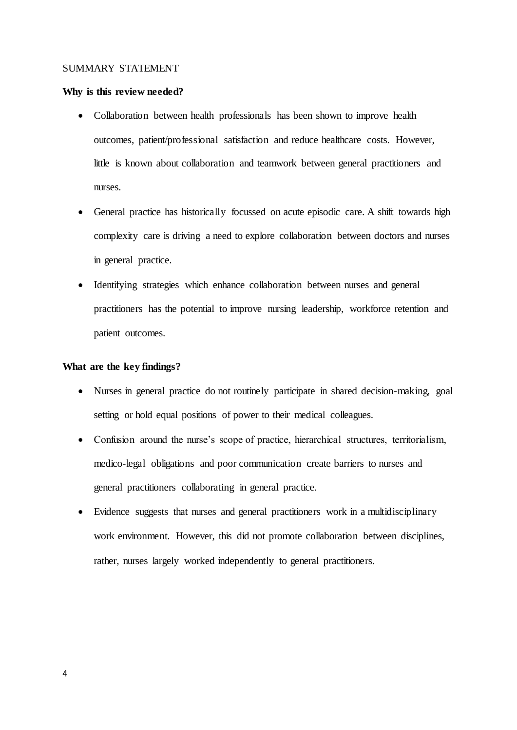#### SUMMARY STATEMENT

#### **Why is this review needed?**

- Collaboration between health professionals has been shown to improve health outcomes, patient/professional satisfaction and reduce healthcare costs. However, little is known about collaboration and teamwork between general practitioners and nurses.
- General practice has historically focussed on acute episodic care. A shift towards high complexity care is driving a need to explore collaboration between doctors and nurses in general practice.
- Identifying strategies which enhance collaboration between nurses and general practitioners has the potential to improve nursing leadership, workforce retention and patient outcomes.

#### **What are the key findings?**

- Nurses in general practice do not routinely participate in shared decision-making, goal setting or hold equal positions of power to their medical colleagues.
- Confusion around the nurse's scope of practice, hierarchical structures, territorialism, medico-legal obligations and poor communication create barriers to nurses and general practitioners collaborating in general practice.
- Evidence suggests that nurses and general practitioners work in a multidisciplinary work environment. However, this did not promote collaboration between disciplines, rather, nurses largely worked independently to general practitioners.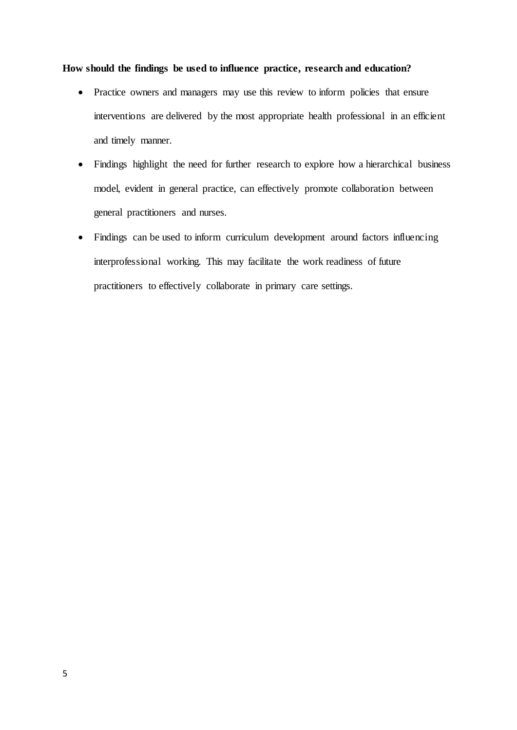#### **How should the findings be used to influence practice, research and education?**

- Practice owners and managers may use this review to inform policies that ensure interventions are delivered by the most appropriate health professional in an efficient and timely manner.
- Findings highlight the need for further research to explore how a hierarchical business model, evident in general practice, can effectively promote collaboration between general practitioners and nurses.
- Findings can be used to inform curriculum development around factors influencing interprofessional working. This may facilitate the work readiness of future practitioners to effectively collaborate in primary care settings.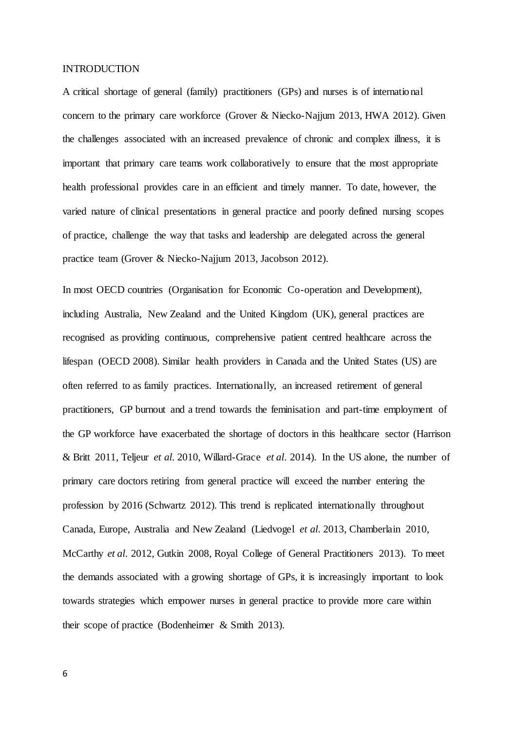#### INTRODUCTION

A critical shortage of general (family) practitioners (GPs) and nurses is of internatio nal concern to the primary care workforce (Grover & [Niecko-Najjum 2013,](#page-29-0) [HWA 2012\)](#page-30-0). Given the challenges associated with an increased prevalence of chronic and complex illness, it is important that primary care teams work collaboratively to ensure that the most appropriate health professional provides care in an efficient and timely manner. To date, however, the varied nature of clinical presentations in general practice and poorly defined nursing scopes of practice, challenge the way that tasks and leadership are delegated across the general practice team (Grover & [Niecko-Najjum 2013,](#page-29-0) [Jacobson 2012\)](#page-30-1).

In most OECD countries (Organisation for Economic Co-operation and Development), including Australia, New Zealand and the United Kingdom (UK), general practices are recognised as providing continuous, comprehensive patient centred healthcare across the lifespan [\(OECD 2008\)](#page-31-0). Similar health providers in Canada and the United States (US) are often referred to as family practices. Internationally, an increased retirement of general practitioners, GP burnout and a trend towards the feminisation and part-time employment of the GP workforce have exacerbated the shortage of doctors in this healthcare sector [\(Harrison](#page-30-2)  & [Britt 2011,](#page-30-2) [Teljeur](#page-32-1) *et al*. 2010, [Willard-Grace](#page-32-2) *et al*. 2014). In the US alone, the number of primary care doctors retiring from general practice will exceed the number entering the profession by 2016 [\(Schwartz 2012\)](#page-32-3). This trend is replicated internationally throughout Canada, Europe, Australia and New Zealand [\(Liedvogel](#page-30-3) *et al*. 2013, [Chamberlain 2010,](#page-28-0) [McCarthy](#page-31-1) *et al*. 2012, [Gutkin 2008,](#page-29-1) [Royal College of General Practitioners 2013\)](#page-32-4). To meet the demands associated with a growing shortage of GPs, it is increasingly important to look towards strategies which empower nurses in general practice to provide more care within their scope of practice [\(Bodenheimer &](#page-28-1) Smith 2013).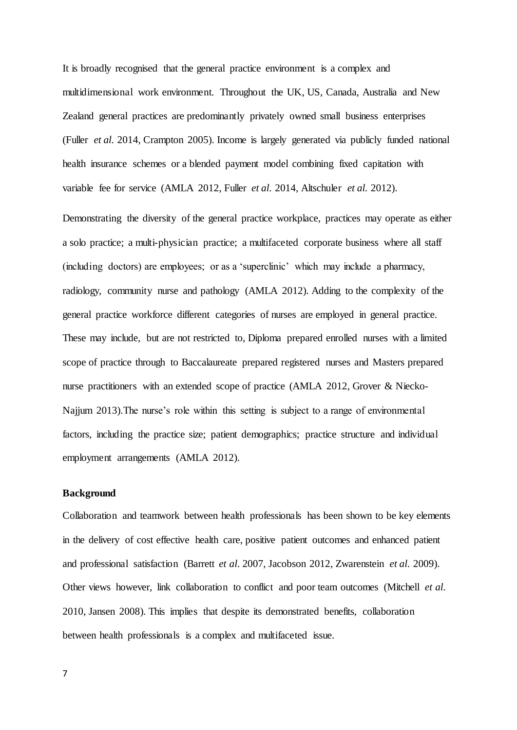It is broadly recognised that the general practice environment is a complex and multidimensional work environment. Throughout the UK, US, Canada, Australia and New Zealand general practices are predominantly privately owned small business enterprises (Fuller *et al*[. 2014,](#page-29-2) [Crampton 2005\)](#page-29-3). Income is largely generated via publicly funded national health insurance schemes or a blended payment model combining fixed capitation with variable fee for service [\(AMLA 2012,](#page-28-2) Fuller *et al*[. 2014,](#page-29-2) [Altschuler](#page-28-3) *et al*. 2012).

Demonstrating the diversity of the general practice workplace, practices may operate as either a solo practice; a multi-physician practice; a multifaceted corporate business where all staff (including doctors) are employees; or as a 'superclinic' which may include a pharmacy, radiology, community nurse and pathology [\(AMLA 2012\)](#page-28-2). Adding to the complexity of the general practice workforce different categories of nurses are employed in general practice. These may include, but are not restricted to, Diploma prepared enrolled nurses with a limited scope of practice through to Baccalaureate prepared registered nurses and Masters prepared nurse practitioners with an extended scope of practice [\(AMLA 2012,](#page-28-2) [Grover &](#page-29-0) Niecko-[Najjum 2013\)](#page-29-0).The nurse's role within this setting is subject to a range of environmental factors, including the practice size; patient demographics; practice structure and individual employment arrangements [\(AMLA 2012\)](#page-28-2).

#### **Background**

Collaboration and teamwork between health professionals has been shown to be key elements in the delivery of cost effective health care, positive patient outcomes and enhanced patient and professional satisfaction [\(Barrett](#page-28-4) *et al*. 2007, [Jacobson 2012,](#page-30-1) [Zwarenstein](#page-33-0) *et al*. 2009). Other views however, link collaboration to conflict and poor team outcomes [\(Mitchell](#page-31-2) *et al*. [2010,](#page-31-2) [Jansen 2008\)](#page-30-4). This implies that despite its demonstrated benefits, collaboration between health professionals is a complex and multifaceted issue.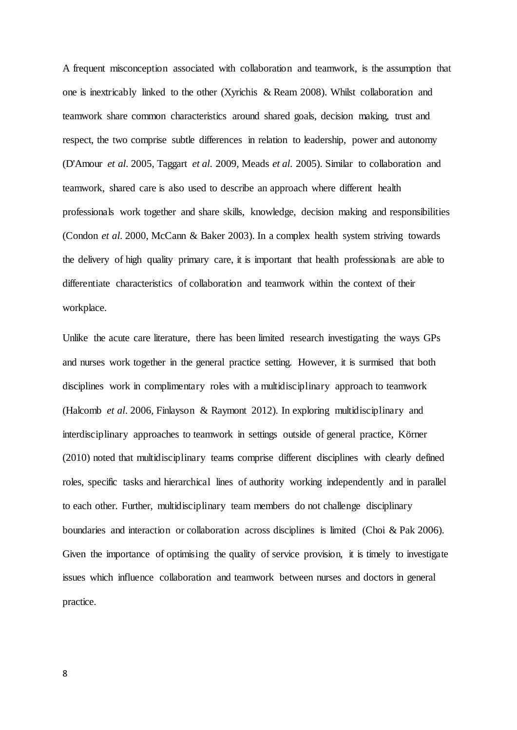A frequent misconception associated with collaboration and teamwork, is the assumption that one is inextricably linked to the other [\(Xyrichis &](#page-33-1) Ream 2008). Whilst collaboration and teamwork share common characteristics around shared goals, decision making, trust and respect, the two comprise subtle differences in relation to leadership, power and autonomy [\(D'Amour](#page-29-4) *et al*. 2005, [Taggart](#page-32-5) *et al*. 2009, [Meads](#page-31-3) *et al*. 2005). Similar to collaboration and teamwork, shared care is also used to describe an approach where different health professionals work together and share skills, knowledge, decision making and responsibilities [\(Condon](#page-29-5) *et al*. 2000, McCann & [Baker 2003\)](#page-31-4). In a complex health system striving towards the delivery of high quality primary care, it is important that health professionals are able to differentiate characteristics of collaboration and teamwork within the context of their workplace.

Unlike the acute care literature, there has been limited research investigating the ways GPs and nurses work together in the general practice setting. However, it is surmised that both disciplines work in complimentary roles with a multidisciplinary approach to teamwork [\(Halcomb](#page-30-5) *et al*. 2006, Finlayson & [Raymont 2012\)](#page-29-6). In exploring multidisciplinary and interdisciplinary approaches to teamwork in settings outside of general practice, Körner [\(2010\)](#page-30-6) noted that multidisciplinary teams comprise different disciplines with clearly defined roles, specific tasks and hierarchical lines of authority working independently and in parallel to each other. Further, multidisciplinary team members do not challenge disciplinary boundaries and interaction or collaboration across disciplines is limited (Choi & [Pak 2006\)](#page-28-5). Given the importance of optimising the quality of service provision, it is timely to investigate issues which influence collaboration and teamwork between nurses and doctors in general practice.

8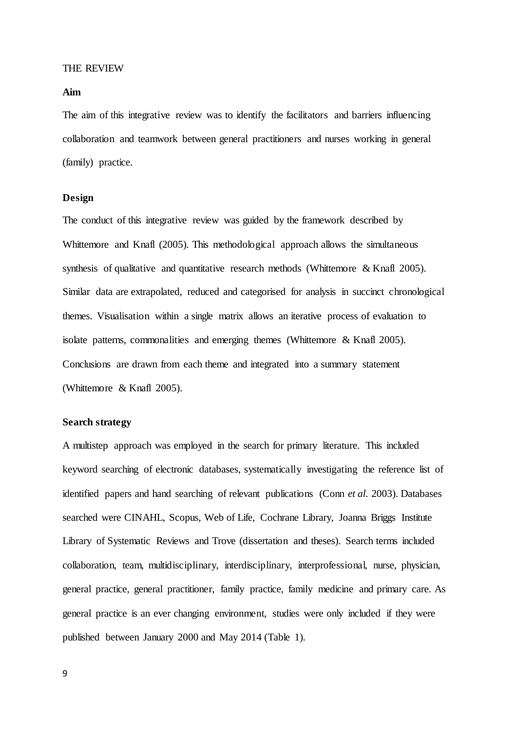#### THE REVIEW

#### **Aim**

The aim of this integrative review was to identify the facilitators and barriers influencing collaboration and teamwork between general practitioners and nurses working in general (family) practice.

#### **Design**

The conduct of this integrative review was guided by the framework described by Whittemore and Knafl [\(2005\)](#page-32-0). This methodological approach allows the simultaneous synthesis of qualitative and quantitative research methods (Whittemore  $\&$  Knafl 2005). Similar data are extrapolated, reduced and categorised for analysis in succinct chronological themes. Visualisation within a single matrix allows an iterative process of evaluation to isolate patterns, commonalities and emerging themes (Whittemore  $\&$  Knafl 2005). Conclusions are drawn from each theme and integrated into a summary statement [\(Whittemore &](#page-32-0) Knafl 2005).

#### **Search strategy**

A multistep approach was employed in the search for primary literature. This included keyword searching of electronic databases, systematically investigating the reference list of identified papers and hand searching of relevant publications (Conn *et al*[. 2003\)](#page-29-7). Databases searched were CINAHL, Scopus, Web of Life, Cochrane Library, Joanna Briggs Institute Library of Systematic Reviews and Trove (dissertation and theses). Search terms included collaboration, team, multidisciplinary, interdisciplinary, interprofessional, nurse, physician, general practice, general practitioner, family practice, family medicine and primary care. As general practice is an ever changing environment, studies were only included if they were published between January 2000 and May 2014 (Table 1).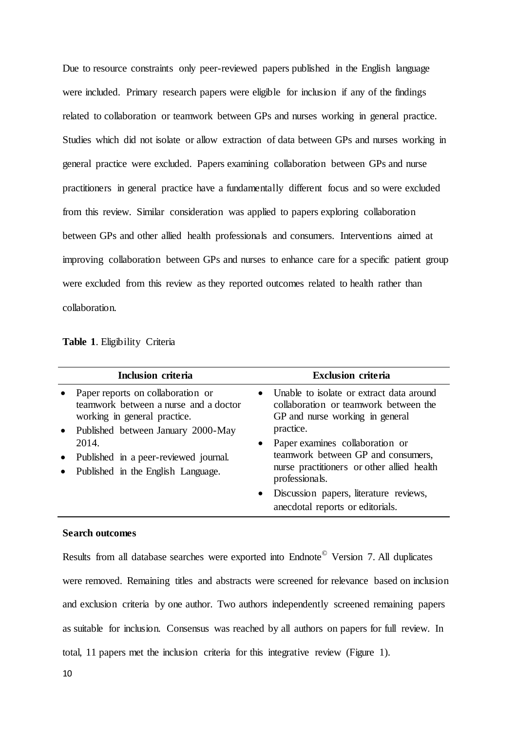Due to resource constraints only peer-reviewed papers published in the English language were included. Primary research papers were eligible for inclusion if any of the findings related to collaboration or teamwork between GPs and nurses working in general practice. Studies which did not isolate or allow extraction of data between GPs and nurses working in general practice were excluded. Papers examining collaboration between GPs and nurse practitioners in general practice have a fundamentally different focus and so were excluded from this review. Similar consideration was applied to papers exploring collaboration between GPs and other allied health professionals and consumers. Interventions aimed at improving collaboration between GPs and nurses to enhance care for a specific patient group were excluded from this review as they reported outcomes related to health rather than collaboration.

**Table 1**. Eligibility Criteria

|                        | Inclusion criteria                                                                                                                                 | <b>Exclusion criteria</b>                                                                                                                                                                                             |
|------------------------|----------------------------------------------------------------------------------------------------------------------------------------------------|-----------------------------------------------------------------------------------------------------------------------------------------------------------------------------------------------------------------------|
| $\bullet$              | Paper reports on collaboration or<br>teamwork between a nurse and a doctor<br>working in general practice.<br>• Published between January 2000-May | Unable to isolate or extract data around<br>collaboration or teamwork between the<br>GP and nurse working in general<br>practice.                                                                                     |
| $\bullet$<br>$\bullet$ | 2014.<br>Published in a peer-reviewed journal.<br>Published in the English Language.                                                               | Paper examines collaboration or<br>teamwork between GP and consumers,<br>nurse practitioners or other allied health<br>professionals.<br>• Discussion papers, literature reviews,<br>anecdotal reports or editorials. |

#### **Search outcomes**

Results from all database searches were exported into Endnote<sup>©</sup> Version 7. All duplicates were removed. Remaining titles and abstracts were screened for relevance based on inclusion and exclusion criteria by one author. Two authors independently screened remaining papers as suitable for inclusion. Consensus was reached by all authors on papers for full review. In total, 11 papers met the inclusion criteria for this integrative review (Figure 1).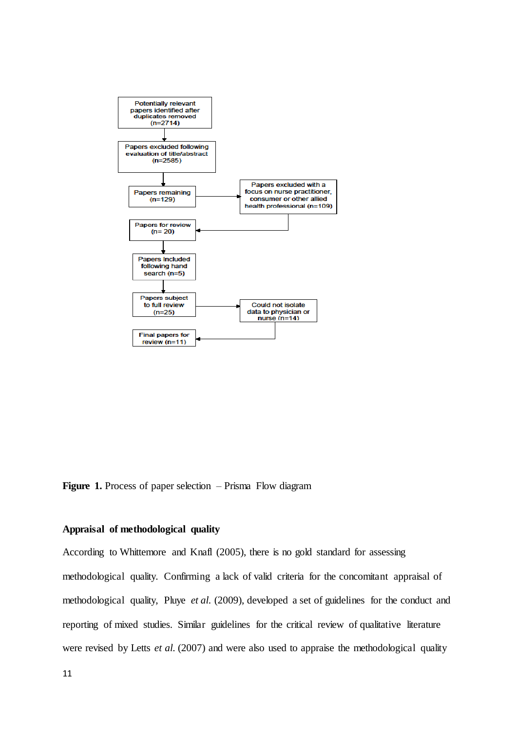

**Figure 1.** Process of paper selection – Prisma Flow diagram

### **Appraisal of methodological quality**

According to Whittemore and Knafl [\(2005\)](#page-32-0), there is no gold standard for assessing methodological quality. Confirming a lack of valid criteria for the concomitant appraisal of methodological quality, Pluye *et al*. [\(2009\)](#page-31-5), developed a set of guidelines for the conduct and reporting of mixed studies. Similar guidelines for the critical review of qualitative literature were revised by Letts *et al*. [\(2007\)](#page-30-7) and were also used to appraise the methodological quality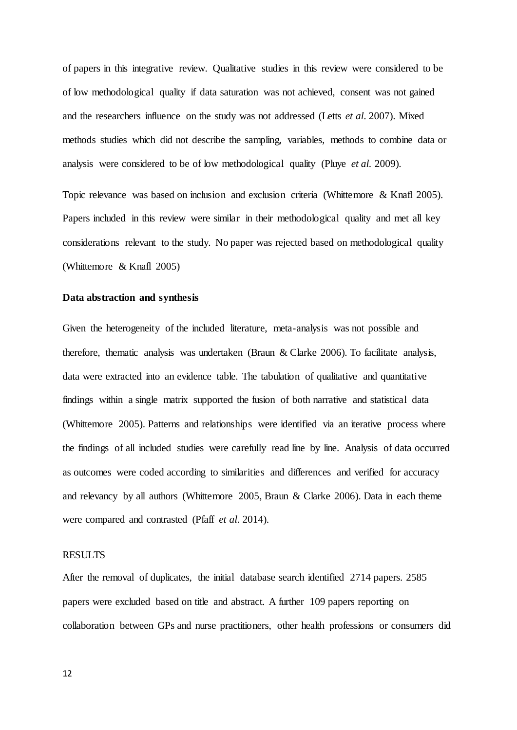of papers in this integrative review. Qualitative studies in this review were considered to be of low methodological quality if data saturation was not achieved, consent was not gained and the researchers influence on the study was not addressed (Letts *et al*[. 2007\)](#page-30-7). Mixed methods studies which did not describe the sampling, variables, methods to combine data or analysis were considered to be of low methodological quality (Pluye *et al*[. 2009\)](#page-31-5).

Topic relevance was based on inclusion and exclusion criteria [\(Whittemore &](#page-32-0) Knafl 2005). Papers included in this review were similar in their methodological quality and met all key considerations relevant to the study. No paper was rejected based on methodological quality [\(Whittemore &](#page-32-0) Knafl 2005)

#### **Data abstraction and synthesis**

Given the heterogeneity of the included literature, meta-analysis was not possible and therefore, thematic analysis was undertaken (Braun & [Clarke 2006\)](#page-28-6). To facilitate analysis, data were extracted into an evidence table. The tabulation of qualitative and quantitative findings within a single matrix supported the fusion of both narrative and statistical data [\(Whittemore 2005\)](#page-32-6). Patterns and relationships were identified via an iterative process where the findings of all included studies were carefully read line by line. Analysis of data occurred as outcomes were coded according to similarities and differences and verified for accuracy and relevancy by all authors [\(Whittemore 2005,](#page-32-6) Braun & [Clarke 2006\)](#page-28-6). Data in each theme were compared and contrasted (Pfaff *et al*[. 2014\)](#page-31-6).

#### **RESULTS**

After the removal of duplicates, the initial database search identified 2714 papers. 2585 papers were excluded based on title and abstract. A further 109 papers reporting on collaboration between GPs and nurse practitioners, other health professions or consumers did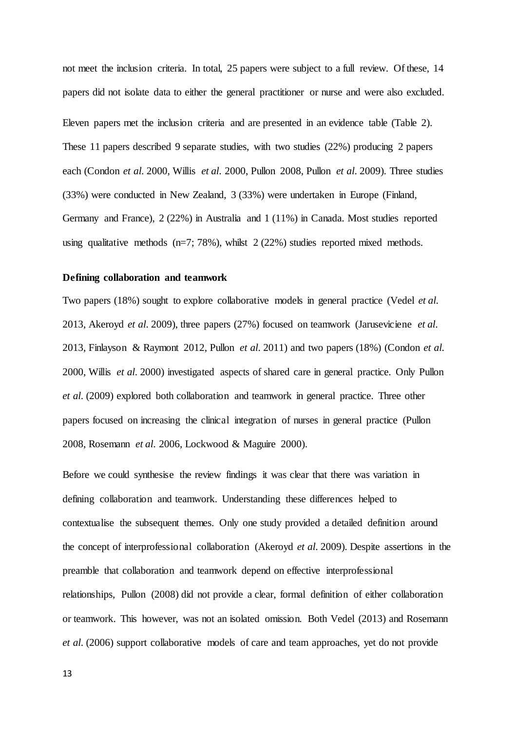not meet the inclusion criteria. In total, 25 papers were subject to a full review. Of these, 14 papers did not isolate data to either the general practitioner or nurse and were also excluded. Eleven papers met the inclusion criteria and are presented in an evidence table (Table 2). These 11 papers described 9 separate studies, with two studies (22%) producing 2 papers each [\(Condon](#page-29-5) *et al*. 2000, Willis *et al*[. 2000,](#page-33-2) [Pullon 2008,](#page-31-7) [Pullon](#page-31-8) *et al*. 2009). Three studies (33%) were conducted in New Zealand, 3 (33%) were undertaken in Europe (Finland, Germany and France), 2 (22%) in Australia and 1 (11%) in Canada. Most studies reported using qualitative methods  $(n=7; 78%)$ , whilst  $2(22%)$  studies reported mixed methods.

#### **Defining collaboration and teamwork**

Two papers (18%) sought to explore collaborative models in general practice [\(Vedel](#page-32-7) *et al*. [2013,](#page-32-7) [Akeroyd](#page-28-7) *et al*. 2009), three papers (27%) focused on teamwork [\(Jaruseviciene](#page-30-8) *et al*. [2013,](#page-30-8) Finlayson & [Raymont 2012,](#page-29-6) [Pullon](#page-31-9) *et al*. 2011) and two papers (18%) [\(Condon](#page-29-5) *et al*. [2000,](#page-29-5) Willis *et al*[. 2000\)](#page-33-2) investigated aspects of shared care in general practice. Only Pullon *et al*. [\(2009\)](#page-31-8) explored both collaboration and teamwork in general practice. Three other papers focused on increasing the clinical integration of nurses in general practice [\(Pullon](#page-31-7)  [2008,](#page-31-7) [Rosemann](#page-32-8) *et al*. 2006, Lockwood & [Maguire 2000\)](#page-30-9).

Before we could synthesise the review findings it was clear that there was variation in defining collaboration and teamwork. Understanding these differences helped to contextualise the subsequent themes. Only one study provided a detailed definition around the concept of interprofessional collaboration [\(Akeroyd](#page-28-7) *et al*. 2009). Despite assertions in the preamble that collaboration and teamwork depend on effective interprofessional relationships, Pullon [\(2008\)](#page-31-7) did not provide a clear, formal definition of either collaboration or teamwork. This however, was not an isolated omission. Both Vedel [\(2013\)](#page-32-7) and Rosemann *et al*. [\(2006\)](#page-32-8) support collaborative models of care and team approaches, yet do not provide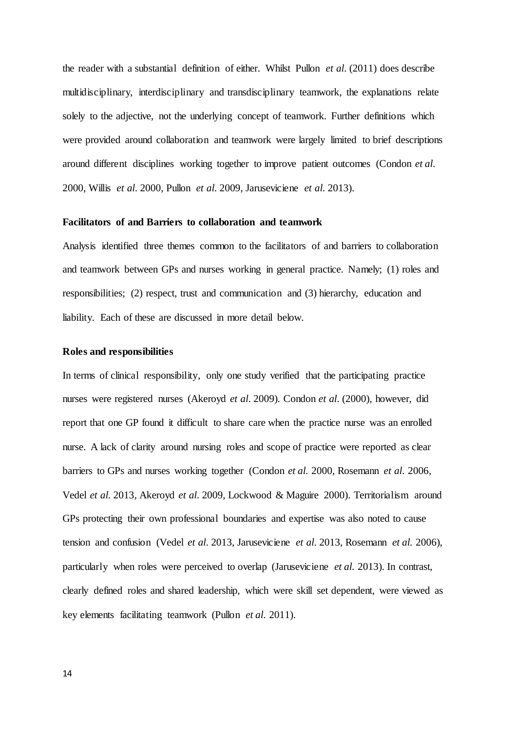the reader with a substantial definition of either. Whilst Pullon *et al*. [\(2011\)](#page-31-9) does describe multidisciplinary, interdisciplinary and transdisciplinary teamwork, the explanations relate solely to the adjective, not the underlying concept of teamwork. Further definitions which were provided around collaboration and teamwork were largely limited to brief descriptions around different disciplines working together to improve patient outcomes [\(Condon](#page-29-5) *et al*. [2000,](#page-29-5) Willis *et al*[. 2000,](#page-33-2) [Pullon](#page-31-8) *et al*. 2009[, Jaruseviciene](#page-30-8) *et al*. 2013).

#### **Facilitators of and Barriers to collaboration and teamwork**

Analysis identified three themes common to the facilitators of and barriers to collaboration and teamwork between GPs and nurses working in general practice. Namely; (1) roles and responsibilities; (2) respect, trust and communication and (3) hierarchy, education and liability. Each of these are discussed in more detail below.

#### **Roles and responsibilities**

In terms of clinical responsibility, only one study verified that the participating practice nurses were registered nurses [\(Akeroyd](#page-28-7) *et al*. 2009). Condon *et al*. [\(2000\)](#page-29-5), however, did report that one GP found it difficult to share care when the practice nurse was an enrolled nurse. A lack of clarity around nursing roles and scope of practice were reported as clear barriers to GPs and nurses working together [\(Condon](#page-29-5) *et al*. 2000, [Rosemann](#page-32-8) *et al*. 2006, Vedel *et al*[. 2013,](#page-32-7) [Akeroyd](#page-28-7) *et al*. 2009, Lockwood & [Maguire 2000\)](#page-30-9). Territorialism around GPs protecting their own professional boundaries and expertise was also noted to cause tension and confusion [\(Vedel](#page-32-7) *et al*. 2013, [Jaruseviciene](#page-30-8) *et al*. 2013, [Rosemann](#page-32-8) *et al*. 2006), particularly when roles were perceived to overlap [\(Jaruseviciene](#page-30-8) *et al*. 2013). In contrast, clearly defined roles and shared leadership, which were skill set dependent, were viewed as key elements facilitating teamwork [\(Pullon](#page-31-9) *et al*. 2011).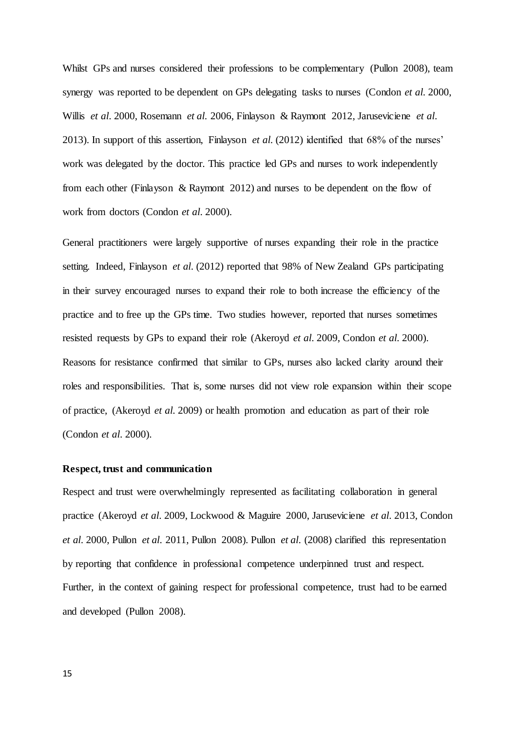Whilst GPs and nurses considered their professions to be complementary [\(Pullon 2008\)](#page-31-7), team synergy was reported to be dependent on GPs delegating tasks to nurses [\(Condon](#page-29-5) *et al*. 2000, Willis *et al*[. 2000,](#page-33-2) [Rosemann](#page-32-8) *et al*. 2006, Finlayson & [Raymont 2012,](#page-29-6) [Jaruseviciene](#page-30-8) *et al*. [2013\)](#page-30-8). In support of this assertion, Finlayson *et al*. [\(2012\)](#page-29-6) identified that 68% of the nurses' work was delegated by the doctor. This practice led GPs and nurses to work independently from each other (Finlayson & [Raymont 2012\)](#page-29-6) and nurses to be dependent on the flow of work from doctors [\(Condon](#page-29-5) *et al*. 2000).

General practitioners were largely supportive of nurses expanding their role in the practice setting. Indeed, Finlayson *et al*. [\(2012\)](#page-29-6) reported that 98% of New Zealand GPs participating in their survey encouraged nurses to expand their role to both increase the efficiency of the practice and to free up the GPs time. Two studies however, reported that nurses sometimes resisted requests by GPs to expand their role [\(Akeroyd](#page-28-7) *et al*. 2009, [Condon](#page-29-5) *et al*. 2000). Reasons for resistance confirmed that similar to GPs, nurses also lacked clarity around their roles and responsibilities. That is, some nurses did not view role expansion within their scope of practice, [\(Akeroyd](#page-28-7) *et al*. 2009) or health promotion and education as part of their role [\(Condon](#page-29-5) *et al*. 2000).

#### **Respect, trust and communication**

Respect and trust were overwhelmingly represented as facilitating collaboration in general practice [\(Akeroyd](#page-28-7) *et al*. 2009, Lockwood & [Maguire 2000,](#page-30-9) [Jaruseviciene](#page-30-8) *et al*. 2013, [Condon](#page-29-5)  *et al*[. 2000,](#page-29-5) Pullon *et al*[. 2011,](#page-31-9) [Pullon 2008\)](#page-31-7). Pullon *et al*. [\(2008\)](#page-31-7) clarified this representation by reporting that confidence in professional competence underpinned trust and respect. Further, in the context of gaining respect for professional competence, trust had to be earned and developed [\(Pullon 2008\)](#page-31-7).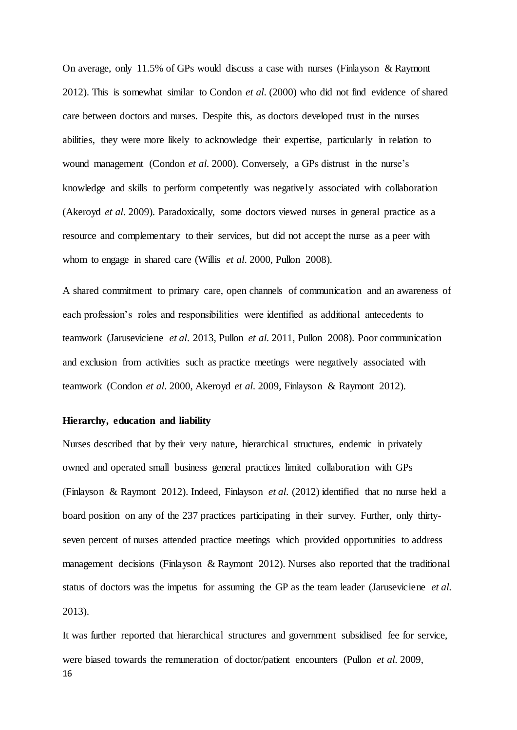On average, only 11.5% of GPs would discuss a case with nurses [\(Finlayson &](#page-29-6) Raymont [2012\)](#page-29-6). This is somewhat similar to Condon *et al*. [\(2000\)](#page-29-5) who did not find evidence of shared care between doctors and nurses. Despite this, as doctors developed trust in the nurses abilities, they were more likely to acknowledge their expertise, particularly in relation to wound management [\(Condon](#page-29-5) *et al*. 2000). Conversely, a GPs distrust in the nurse's knowledge and skills to perform competently was negatively associated with collaboration [\(Akeroyd](#page-28-7) *et al*. 2009). Paradoxically, some doctors viewed nurses in general practice as a resource and complementary to their services, but did not accept the nurse as a peer with whom to engage in shared care (Willis *et al*[. 2000,](#page-33-2) [Pullon 2008\)](#page-31-7).

A shared commitment to primary care, open channels of communication and an awareness of each profession's roles and responsibilities were identified as additional antecedents to teamwork [\(Jaruseviciene](#page-30-8) *et al*. 2013[, Pullon](#page-31-9) *et al*. 2011, [Pullon 2008\)](#page-31-7). Poor communication and exclusion from activities such as practice meetings were negatively associated with teamwork [\(Condon](#page-29-5) *et al*. 2000, [Akeroyd](#page-28-7) *et al*. 2009, Finlayson & [Raymont 2012\)](#page-29-6).

#### **Hierarchy, education and liability**

Nurses described that by their very nature, hierarchical structures, endemic in privately owned and operated small business general practices limited collaboration with GPs (Finlayson & [Raymont 2012\)](#page-29-6). Indeed, Finlayson *et al*. [\(2012\)](#page-29-6) identified that no nurse held a board position on any of the 237 practices participating in their survey. Further, only thirtyseven percent of nurses attended practice meetings which provided opportunities to address management decisions (Finlayson & [Raymont 2012\)](#page-29-6). Nurses also reported that the traditional status of doctors was the impetus for assuming the GP as the team leader [\(Jaruseviciene](#page-30-8) *et al*. [2013\)](#page-30-8).

16 It was further reported that hierarchical structures and government subsidised fee for service, were biased towards the remuneration of doctor/patient encounters [\(Pullon](#page-31-8) *et al*. 2009,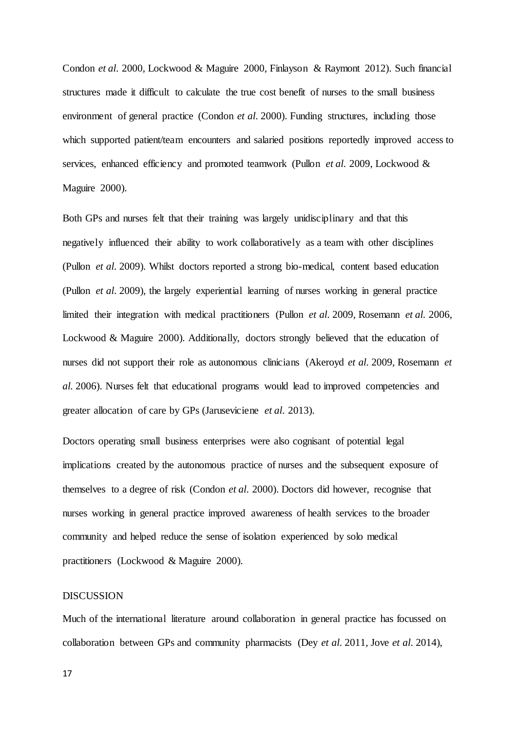[Condon](#page-29-5) *et al*. 2000, Lockwood & [Maguire 2000,](#page-30-9) Finlayson & [Raymont 2012\)](#page-29-6). Such financial structures made it difficult to calculate the true cost benefit of nurses to the small business environment of general practice [\(Condon](#page-29-5) *et al*. 2000). Funding structures, including those which supported patient/team encounters and salaried positions reportedly improved access to services, enhanced efficiency and promoted teamwork [\(Pullon](#page-31-8) *et al*. 2009[, Lockwood &](#page-30-9) [Maguire 2000\)](#page-30-9).

Both GPs and nurses felt that their training was largely unidisciplinary and that this negatively influenced their ability to work collaboratively as a team with other disciplines [\(Pullon](#page-31-8) *et al*. 2009). Whilst doctors reported a strong bio-medical, content based education [\(Pullon](#page-31-8) *et al*. 2009), the largely experiential learning of nurses working in general practice limited their integration with medical practitioners [\(Pullon](#page-31-8) *et al*. 2009, [Rosemann](#page-32-8) *et al*. 2006, Lockwood & [Maguire 2000\)](#page-30-9). Additionally, doctors strongly believed that the education of nurses did not support their role as autonomous clinicians [\(Akeroyd](#page-28-7) *et al*. 2009[, Rosemann](#page-32-8) *et al*[. 2006\)](#page-32-8). Nurses felt that educational programs would lead to improved competencies and greater allocation of care by GPs [\(Jaruseviciene](#page-30-8) *et al*. 2013).

Doctors operating small business enterprises were also cognisant of potential legal implications created by the autonomous practice of nurses and the subsequent exposure of themselves to a degree of risk [\(Condon](#page-29-5) *et al*. 2000). Doctors did however, recognise that nurses working in general practice improved awareness of health services to the broader community and helped reduce the sense of isolation experienced by solo medical practitioners (Lockwood & [Maguire 2000\)](#page-30-9).

#### DISCUSSION

Much of the international literature around collaboration in general practice has focussed on collaboration between GPs and community pharmacists (Dey *et al*[. 2011,](#page-29-8) Jove *et al*[. 2014\)](#page-30-10),

17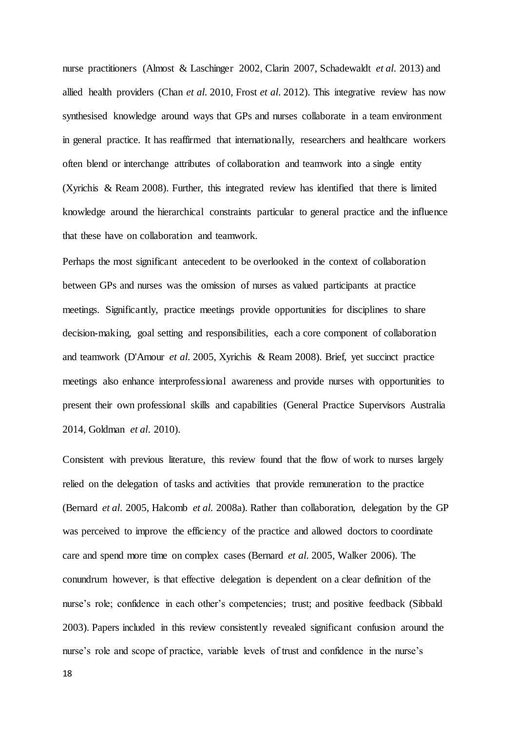nurse practitioners (Almost & [Laschinger 2002,](#page-28-8) [Clarin 2007,](#page-29-9) [Schadewaldt](#page-32-9) *et al*. 2013) and allied health providers (Chan *et al*[. 2010,](#page-28-9) Frost *et al*[. 2012\)](#page-29-10). This integrative review has now synthesised knowledge around ways that GPs and nurses collaborate in a team environment in general practice. It has reaffirmed that internationally, researchers and healthcare workers often blend or interchange attributes of collaboration and teamwork into a single entity (Xyrichis & [Ream 2008\)](#page-33-1). Further, this integrated review has identified that there is limited knowledge around the hierarchical constraints particular to general practice and the influence that these have on collaboration and teamwork.

Perhaps the most significant antecedent to be overlooked in the context of collaboration between GPs and nurses was the omission of nurses as valued participants at practice meetings. Significantly, practice meetings provide opportunities for disciplines to share decision-making, goal setting and responsibilities, each a core component of collaboration and teamwork [\(D'Amour](#page-29-4) *et al*. 2005, Xyrichis & [Ream 2008\)](#page-33-1). Brief, yet succinct practice meetings also enhance interprofessional awareness and provide nurses with opportunities to present their own professional skills and capabilities [\(General Practice Supervisors Australia](#page-29-11)  [2014,](#page-29-11) [Goldman](#page-29-12) *et al*. 2010).

Consistent with previous literature, this review found that the flow of work to nurses largely relied on the delegation of tasks and activities that provide remuneration to the practice [\(Bernard](#page-28-10) *et al*. 2005, [Halcomb](#page-29-13) *et al*. 2008a). Rather than collaboration, delegation by the GP was perceived to improve the efficiency of the practice and allowed doctors to coordinate care and spend more time on complex cases [\(Bernard](#page-28-10) *et al*. 2005, [Walker 2006\)](#page-32-10). The conundrum however, is that effective delegation is dependent on a clear definition of the nurse's role; confidence in each other's competencies; trust; and positive feedback [\(Sibbald](#page-32-11)  [2003\)](#page-32-11). Papers included in this review consistently revealed significant confusion around the nurse's role and scope of practice, variable levels of trust and confidence in the nurse's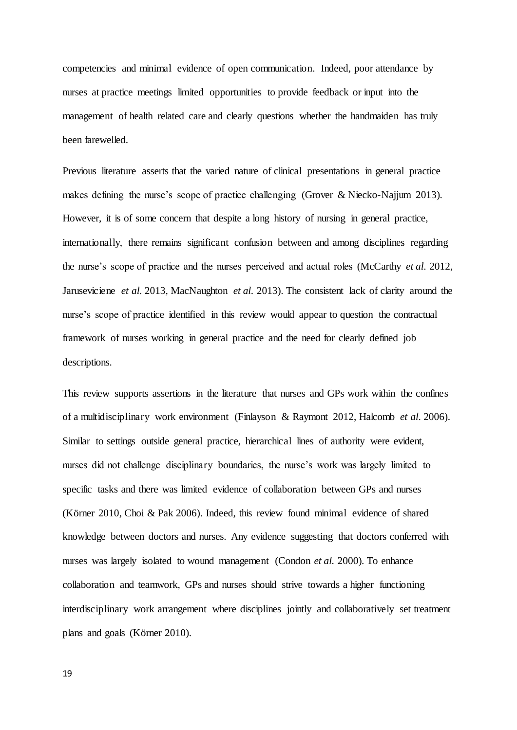competencies and minimal evidence of open communication. Indeed, poor attendance by nurses at practice meetings limited opportunities to provide feedback or input into the management of health related care and clearly questions whether the handmaiden has truly been farewelled.

Previous literature asserts that the varied nature of clinical presentations in general practice makes defining the nurse's scope of practice challenging (Grover & [Niecko-Najjum 2013\)](#page-29-0). However, it is of some concern that despite a long history of nursing in general practice, internationally, there remains significant confusion between and among disciplines regarding the nurse's scope of practice and the nurses perceived and actual roles [\(McCarthy](#page-31-1) *et al*. 2012, [Jaruseviciene](#page-30-8) *et al*. 2013, [MacNaughton](#page-31-10) *et al*. 2013). The consistent lack of clarity around the nurse's scope of practice identified in this review would appear to question the contractual framework of nurses working in general practice and the need for clearly defined job descriptions.

This review supports assertions in the literature that nurses and GPs work within the confines of a multidisciplinary work environment (Finlayson & [Raymont 2012,](#page-29-6) [Halcomb](#page-30-5) *et al*. 2006). Similar to settings outside general practice, hierarchical lines of authority were evident, nurses did not challenge disciplinary boundaries, the nurse's work was largely limited to specific tasks and there was limited evidence of collaboration between GPs and nurses [\(Körner 2010,](#page-30-6) Choi & [Pak 2006\)](#page-28-5). Indeed, this review found minimal evidence of shared knowledge between doctors and nurses. Any evidence suggesting that doctors conferred with nurses was largely isolated to wound management [\(Condon](#page-29-5) *et al*. 2000). To enhance collaboration and teamwork, GPs and nurses should strive towards a higher functioning interdisciplinary work arrangement where disciplines jointly and collaboratively set treatment plans and goals [\(Körner 2010\)](#page-30-6).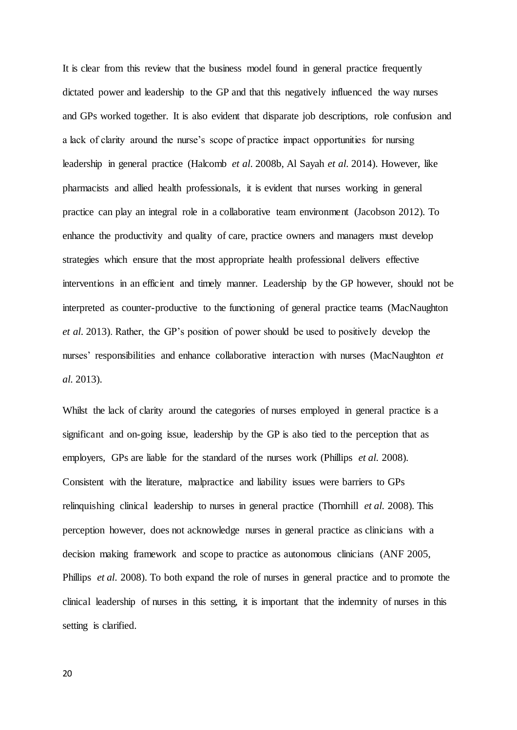It is clear from this review that the business model found in general practice frequently dictated power and leadership to the GP and that this negatively influenced the way nurses and GPs worked together. It is also evident that disparate job descriptions, role confusion and a lack of clarity around the nurse's scope of practice impact opportunities for nursing leadership in general practice [\(Halcomb](#page-30-11) *et al*. 2008b, [Al Sayah](#page-28-11) *et al*. 2014). However, like pharmacists and allied health professionals, it is evident that nurses working in general practice can play an integral role in a collaborative team environment (Jacobson 2012). To enhance the productivity and quality of care, practice owners and managers must develop strategies which ensure that the most appropriate health professional delivers effective interventions in an efficient and timely manner. Leadership by the GP however, should not be interpreted as counter-productive to the functioning of general practice teams [\(MacNaughton](#page-31-10)  *et al*[. 2013\)](#page-31-10). Rather, the GP's position of power should be used to positively develop the nurses' responsibilities and enhance collaborative interaction with nurses [\(MacNaughton](#page-31-10) *et al*[. 2013\)](#page-31-10).

Whilst the lack of clarity around the categories of nurses employed in general practice is a significant and on-going issue, leadership by the GP is also tied to the perception that as employers, GPs are liable for the standard of the nurses work [\(Phillips](#page-31-11) *et al*. 2008). Consistent with the literature, malpractice and liability issues were barriers to GPs relinquishing clinical leadership to nurses in general practice [\(Thornhill](#page-32-12) *et al*. 2008). This perception however, does not acknowledge nurses in general practice as clinicians with a decision making framework and scope to practice as autonomous clinicians [\(ANF 2005,](#page-28-12) [Phillips](#page-31-11) *et al*. 2008). To both expand the role of nurses in general practice and to promote the clinical leadership of nurses in this setting, it is important that the indemnity of nurses in this setting is clarified.

20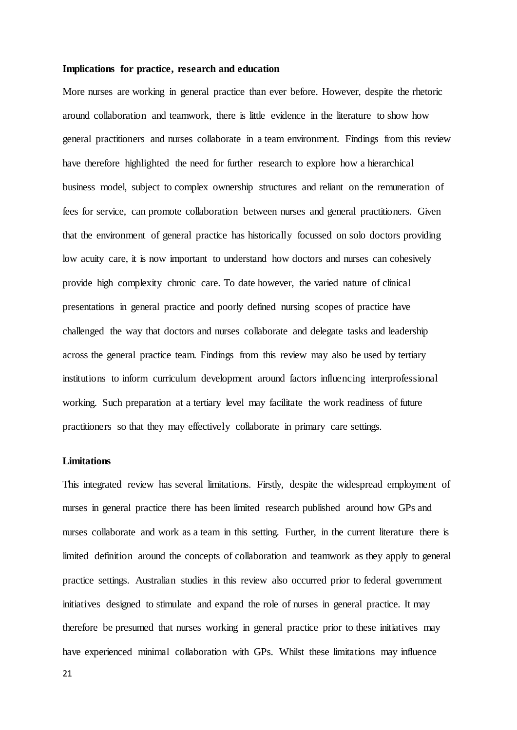#### **Implications for practice, research and education**

More nurses are working in general practice than ever before. However, despite the rhetoric around collaboration and teamwork, there is little evidence in the literature to show how general practitioners and nurses collaborate in a team environment. Findings from this review have therefore highlighted the need for further research to explore how a hierarchical business model, subject to complex ownership structures and reliant on the remuneration of fees for service, can promote collaboration between nurses and general practitioners. Given that the environment of general practice has historically focussed on solo doctors providing low acuity care, it is now important to understand how doctors and nurses can cohesively provide high complexity chronic care. To date however, the varied nature of clinical presentations in general practice and poorly defined nursing scopes of practice have challenged the way that doctors and nurses collaborate and delegate tasks and leadership across the general practice team. Findings from this review may also be used by tertiary institutions to inform curriculum development around factors influencing interprofessional working. Such preparation at a tertiary level may facilitate the work readiness of future practitioners so that they may effectively collaborate in primary care settings.

#### **Limitations**

This integrated review has several limitations. Firstly, despite the widespread employment of nurses in general practice there has been limited research published around how GPs and nurses collaborate and work as a team in this setting. Further, in the current literature there is limited definition around the concepts of collaboration and teamwork as they apply to general practice settings. Australian studies in this review also occurred prior to federal government initiatives designed to stimulate and expand the role of nurses in general practice. It may therefore be presumed that nurses working in general practice prior to these initiatives may have experienced minimal collaboration with GPs. Whilst these limitations may influence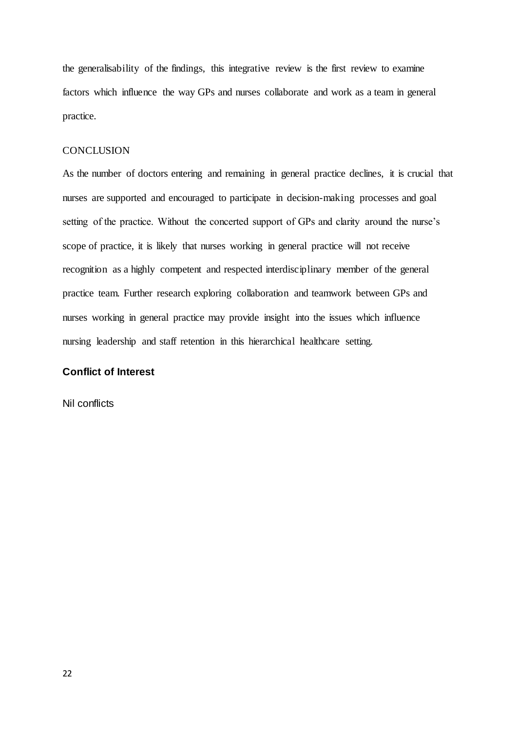the generalisability of the findings, this integrative review is the first review to examine factors which influence the way GPs and nurses collaborate and work as a team in general practice.

#### **CONCLUSION**

As the number of doctors entering and remaining in general practice declines, it is crucial that nurses are supported and encouraged to participate in decision-making processes and goal setting of the practice. Without the concerted support of GPs and clarity around the nurse's scope of practice, it is likely that nurses working in general practice will not receive recognition as a highly competent and respected interdisciplinary member of the general practice team. Further research exploring collaboration and teamwork between GPs and nurses working in general practice may provide insight into the issues which influence nursing leadership and staff retention in this hierarchical healthcare setting.

## **Conflict of Interest**

Nil conflicts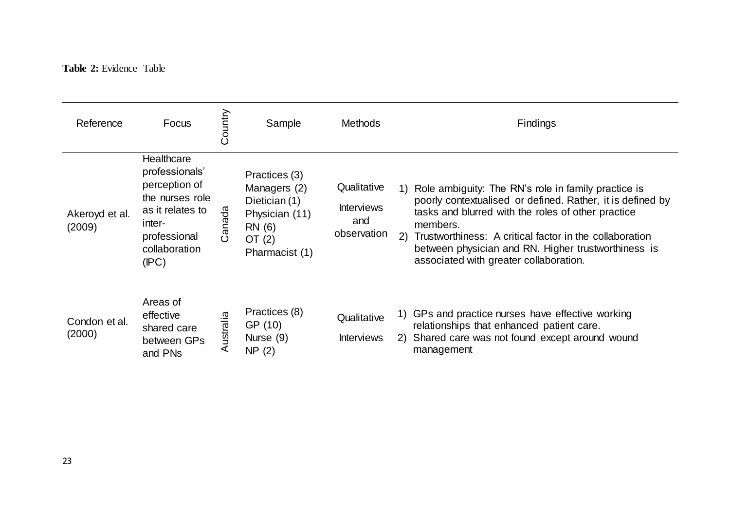## **Table 2:** Evidence Table

| Reference                | Focus                                                                                                                                    | Country  | Sample                                                                                                   | <b>Methods</b>                                         | Findings                                                                                                                                                                                                                                                                                                                                                     |
|--------------------------|------------------------------------------------------------------------------------------------------------------------------------------|----------|----------------------------------------------------------------------------------------------------------|--------------------------------------------------------|--------------------------------------------------------------------------------------------------------------------------------------------------------------------------------------------------------------------------------------------------------------------------------------------------------------------------------------------------------------|
| Akeroyd et al.<br>(2009) | Healthcare<br>professionals'<br>perception of<br>the nurses role<br>as it relates to<br>inter-<br>professional<br>collaboration<br>(IPC) | Canada   | Practices (3)<br>Managers (2)<br>Dietician (1)<br>Physician (11)<br>RN (6)<br>OT $(2)$<br>Pharmacist (1) | Qualitative<br><b>Interviews</b><br>and<br>observation | Role ambiguity: The RN's role in family practice is<br>1)<br>poorly contextualised or defined. Rather, it is defined by<br>tasks and blurred with the roles of other practice<br>members.<br>(2)<br>Trustworthiness: A critical factor in the collaboration<br>between physician and RN. Higher trustworthiness is<br>associated with greater collaboration. |
| Condon et al.<br>(2000)  | Areas of<br>effective<br>shared care<br>between GPs<br>and PNs                                                                           | ustralia | Practices (8)<br>GP (10)<br>Nurse (9)<br>NP(2)                                                           | Qualitative<br><b>Interviews</b>                       | GPs and practice nurses have effective working<br>1)<br>relationships that enhanced patient care.<br>2) Shared care was not found except around wound<br>management                                                                                                                                                                                          |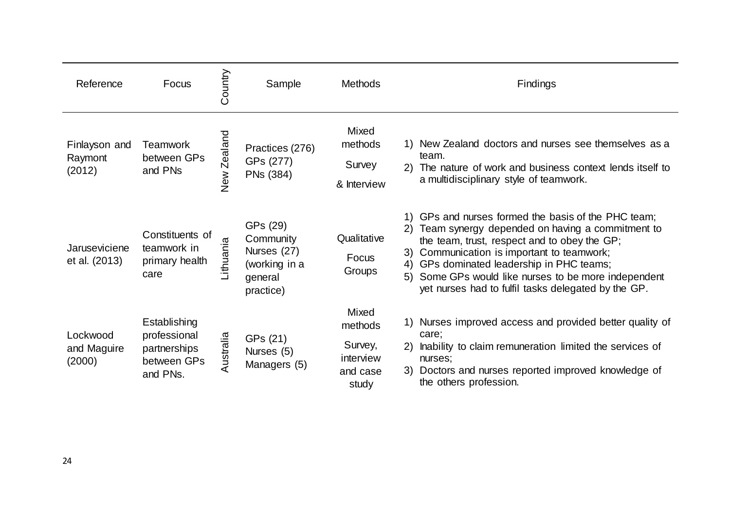| Reference                          | Focus                                                                   | Country         | Sample                                                                        | <b>Methods</b>                                                | Findings                                                                                                                                                                                                                                                                                                                                                            |
|------------------------------------|-------------------------------------------------------------------------|-----------------|-------------------------------------------------------------------------------|---------------------------------------------------------------|---------------------------------------------------------------------------------------------------------------------------------------------------------------------------------------------------------------------------------------------------------------------------------------------------------------------------------------------------------------------|
| Finlayson and<br>Raymont<br>(2012) | <b>Teamwork</b><br>between GPs<br>and PNs                               | Zealand<br>New. | Practices (276)<br>GPs (277)<br>PNs (384)                                     | Mixed<br>methods<br>Survey<br>& Interview                     | 1) New Zealand doctors and nurses see themselves as a<br>team.<br>2) The nature of work and business context lends itself to<br>a multidisciplinary style of teamwork.                                                                                                                                                                                              |
| Jaruseviciene<br>et al. (2013)     | Constituents of<br>teamwork in<br>primary health<br>care                | Lithuania       | GPs (29)<br>Community<br>Nurses (27)<br>(working in a<br>general<br>practice) | Qualitative<br>Focus<br>Groups                                | 1) GPs and nurses formed the basis of the PHC team;<br>Team synergy depended on having a commitment to<br>the team, trust, respect and to obey the GP;<br>Communication is important to teamwork;<br>3)<br>4) GPs dominated leadership in PHC teams;<br>5) Some GPs would like nurses to be more independent<br>yet nurses had to fulfil tasks delegated by the GP. |
| Lockwood<br>and Maguire<br>(2000)  | Establishing<br>professional<br>partnerships<br>between GPs<br>and PNs. | Australia       | GPs (21)<br>Nurses (5)<br>Managers (5)                                        | Mixed<br>methods<br>Survey,<br>interview<br>and case<br>study | 1) Nurses improved access and provided better quality of<br>care;<br>2) Inability to claim remuneration limited the services of<br>nurses;<br>3) Doctors and nurses reported improved knowledge of<br>the others profession.                                                                                                                                        |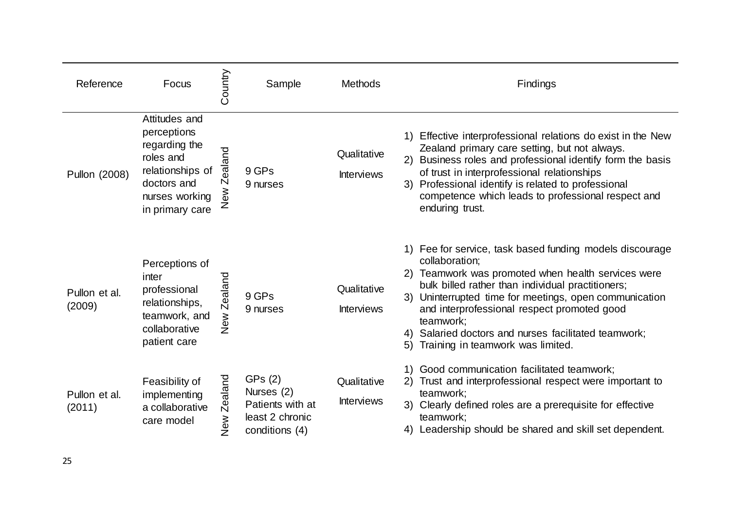| Reference               | Focus                                                                                                                              | Country                | Sample                                                                         | <b>Methods</b>                   | Findings                                                                                                                                                                                                                                                                                                                                                                                                          |
|-------------------------|------------------------------------------------------------------------------------------------------------------------------------|------------------------|--------------------------------------------------------------------------------|----------------------------------|-------------------------------------------------------------------------------------------------------------------------------------------------------------------------------------------------------------------------------------------------------------------------------------------------------------------------------------------------------------------------------------------------------------------|
| Pullon (2008)           | Attitudes and<br>perceptions<br>regarding the<br>roles and<br>relationships of<br>doctors and<br>nurses working<br>in primary care | ealand<br>Ñ<br>New<br> | 9 GPs<br>9 nurses                                                              | Qualitative<br><b>Interviews</b> | Effective interprofessional relations do exist in the New<br>1)<br>Zealand primary care setting, but not always.<br>2) Business roles and professional identify form the basis<br>of trust in interprofessional relationships<br>3) Professional identify is related to professional<br>competence which leads to professional respect and<br>enduring trust.                                                     |
| Pullon et al.<br>(2009) | Perceptions of<br>inter<br>professional<br>relationships,<br>teamwork, and<br>collaborative<br>patient care                        | Zealand<br>New         | 9 GPs<br>9 nurses                                                              | Qualitative<br><b>Interviews</b> | 1) Fee for service, task based funding models discourage<br>collaboration;<br>2) Teamwork was promoted when health services were<br>bulk billed rather than individual practitioners;<br>3) Uninterrupted time for meetings, open communication<br>and interprofessional respect promoted good<br>teamwork;<br>Salaried doctors and nurses facilitated teamwork;<br>4)<br>5)<br>Training in teamwork was limited. |
| Pullon et al.<br>(2011) | Feasibility of<br>implementing<br>a collaborative<br>care model                                                                    | Zealand<br>New<br>Z    | GPs (2)<br>Nurses (2)<br>Patients with at<br>least 2 chronic<br>conditions (4) | Qualitative<br><b>Interviews</b> | Good communication facilitated teamwork;<br>Trust and interprofessional respect were important to<br>2)<br>teamwork;<br>3) Clearly defined roles are a prerequisite for effective<br>teamwork;<br>Leadership should be shared and skill set dependent.                                                                                                                                                            |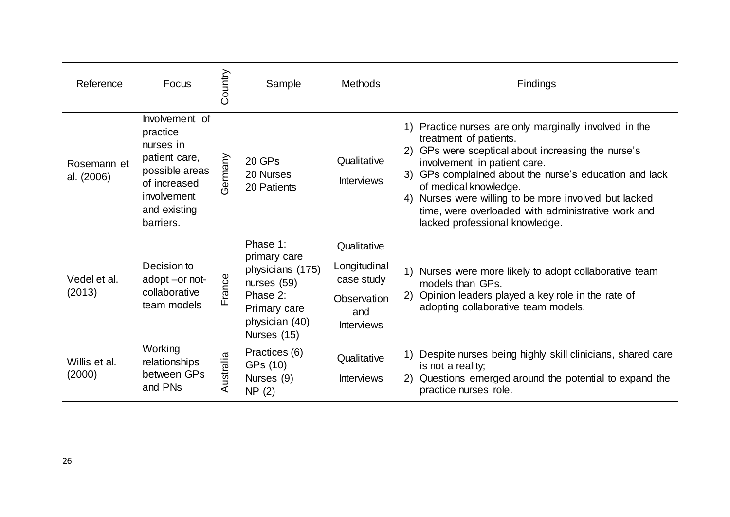| Reference                 | Focus                                                                                                                                  | Country   | Sample                                                                                                                     | <b>Methods</b>                                                                       |    | Findings                                                                                                                                                                                                                                                                                                                                                                                                   |
|---------------------------|----------------------------------------------------------------------------------------------------------------------------------------|-----------|----------------------------------------------------------------------------------------------------------------------------|--------------------------------------------------------------------------------------|----|------------------------------------------------------------------------------------------------------------------------------------------------------------------------------------------------------------------------------------------------------------------------------------------------------------------------------------------------------------------------------------------------------------|
| Rosemann et<br>al. (2006) | Involvement of<br>practice<br>nurses in<br>patient care,<br>possible areas<br>of increased<br>involvement<br>and existing<br>barriers. | Germany   | 20 GPs<br>20 Nurses<br>20 Patients                                                                                         | Qualitative<br><b>Interviews</b>                                                     |    | 1) Practice nurses are only marginally involved in the<br>treatment of patients.<br>2) GPs were sceptical about increasing the nurse's<br>involvement in patient care.<br>3) GPs complained about the nurse's education and lack<br>of medical knowledge.<br>4) Nurses were willing to be more involved but lacked<br>time, were overloaded with administrative work and<br>lacked professional knowledge. |
| Vedel et al.<br>(2013)    | Decision to<br>adopt -or not-<br>collaborative<br>team models                                                                          | France    | Phase 1:<br>primary care<br>physicians (175)<br>nurses $(59)$<br>Phase 2:<br>Primary care<br>physician (40)<br>Nurses (15) | Qualitative<br>Longitudinal<br>case study<br>Observation<br>and<br><b>Interviews</b> | 2) | 1) Nurses were more likely to adopt collaborative team<br>models than GPs.<br>Opinion leaders played a key role in the rate of<br>adopting collaborative team models.                                                                                                                                                                                                                                      |
| Willis et al.<br>(2000)   | Working<br>relationships<br>between GPs<br>and PNs                                                                                     | Australia | Practices (6)<br>GPs (10)<br>Nurses (9)<br>NP(2)                                                                           | Qualitative<br><b>Interviews</b>                                                     | 2) | Despite nurses being highly skill clinicians, shared care<br>is not a reality;<br>Questions emerged around the potential to expand the<br>practice nurses role.                                                                                                                                                                                                                                            |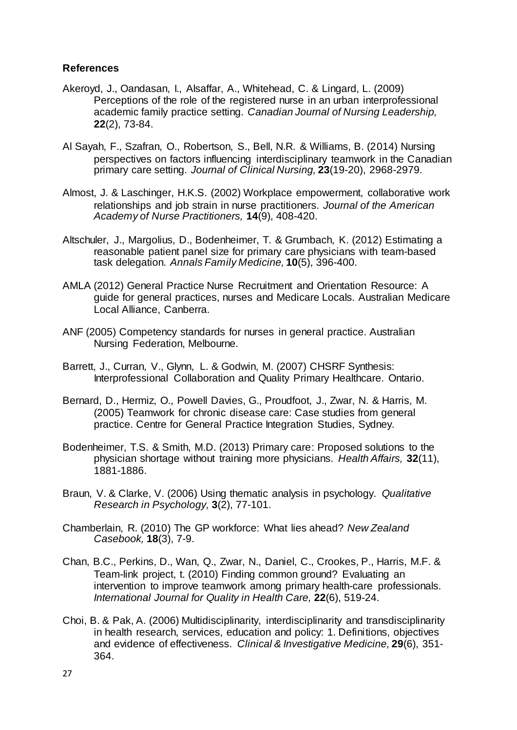## <span id="page-28-13"></span>**References**

- <span id="page-28-7"></span>Akeroyd, J., Oandasan, I., Alsaffar, A., Whitehead, C. & Lingard, L. (2009) Perceptions of the role of the registered nurse in an urban interprofessional academic family practice setting. *Canadian Journal of Nursing Leadership,* **22**(2), 73-84.
- <span id="page-28-11"></span>Al Sayah, F., Szafran, O., Robertson, S., Bell, N.R. & Williams, B. (2014) Nursing perspectives on factors influencing interdisciplinary teamwork in the Canadian primary care setting. *Journal of Clinical Nursing,* **23**(19-20), 2968-2979.
- <span id="page-28-8"></span>Almost, J. & Laschinger, H.K.S. (2002) Workplace empowerment, collaborative work relationships and job strain in nurse practitioners. *Journal of the American Academy of Nurse Practitioners,* **14**(9), 408-420.
- <span id="page-28-3"></span>Altschuler, J., Margolius, D., Bodenheimer, T. & Grumbach, K. (2012) Estimating a reasonable patient panel size for primary care physicians with team-based task delegation. *Annals Family Medicine,* **10**(5), 396-400.
- <span id="page-28-2"></span>AMLA (2012) General Practice Nurse Recruitment and Orientation Resource: A guide for general practices, nurses and Medicare Locals. Australian Medicare Local Alliance, Canberra.
- <span id="page-28-12"></span>ANF (2005) Competency standards for nurses in general practice. Australian Nursing Federation, Melbourne.
- <span id="page-28-4"></span>Barrett, J., Curran, V., Glynn, L. & Godwin, M. (2007) CHSRF Synthesis: Interprofessional Collaboration and Quality Primary Healthcare. Ontario.
- <span id="page-28-10"></span>Bernard, D., Hermiz, O., Powell Davies, G., Proudfoot, J., Zwar, N. & Harris, M. (2005) Teamwork for chronic disease care: Case studies from general practice. Centre for General Practice Integration Studies, Sydney.
- <span id="page-28-1"></span>Bodenheimer, T.S. & Smith, M.D. (2013) Primary care: Proposed solutions to the physician shortage without training more physicians. *Health Affairs,* **32**(11), 1881-1886.
- <span id="page-28-6"></span>Braun, V. & Clarke, V. (2006) Using thematic analysis in psychology. *Qualitative Research in Psychology,* **3**(2), 77-101.
- <span id="page-28-0"></span>Chamberlain, R. (2010) The GP workforce: What lies ahead? *New Zealand Casebook,* **18**(3), 7-9.
- <span id="page-28-9"></span>Chan, B.C., Perkins, D., Wan, Q., Zwar, N., Daniel, C., Crookes, P., Harris, M.F. & Team-link project, t. (2010) Finding common ground? Evaluating an intervention to improve teamwork among primary health-care professionals. *International Journal for Quality in Health Care,* **22**(6), 519-24.
- <span id="page-28-5"></span>Choi, B. & Pak, A. (2006) Multidisciplinarity, interdisciplinarity and transdisciplinarity in health research, services, education and policy: 1. Definitions, objectives and evidence of effectiveness. *Clinical & Investigative Medicine,* **29**(6), 351- 364.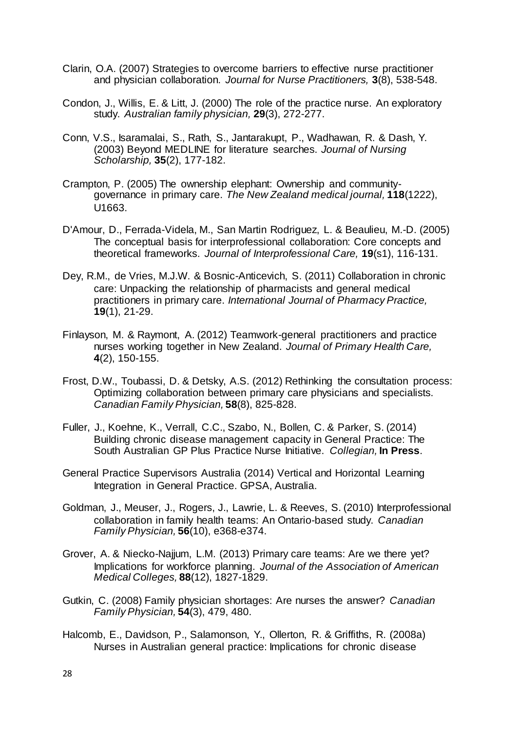- <span id="page-29-14"></span><span id="page-29-9"></span>Clarin, O.A. (2007) Strategies to overcome barriers to effective nurse practitioner and physician collaboration. *Journal for Nurse Practitioners,* **3**(8), 538-548.
- <span id="page-29-15"></span><span id="page-29-5"></span>Condon, J., Willis, E. & Litt, J. (2000) The role of the practice nurse. An exploratory study. *Australian family physician,* **29**(3), 272-277.
- <span id="page-29-7"></span>Conn, V.S., Isaramalai, S., Rath, S., Jantarakupt, P., Wadhawan, R. & Dash, Y. (2003) Beyond MEDLINE for literature searches. *Journal of Nursing Scholarship,* **35**(2), 177-182.
- <span id="page-29-3"></span>Crampton, P. (2005) The ownership elephant: Ownership and communitygovernance in primary care. *The New Zealand medical journal,* **118**(1222), U1663.
- <span id="page-29-4"></span>D'Amour, D., Ferrada-Videla, M., San Martin Rodriguez, L. & Beaulieu, M.-D. (2005) The conceptual basis for interprofessional collaboration: Core concepts and theoretical frameworks. *Journal of Interprofessional Care,* **19**(s1), 116-131.
- <span id="page-29-8"></span>Dey, R.M., de Vries, M.J.W. & Bosnic-Anticevich, S. (2011) Collaboration in chronic care: Unpacking the relationship of pharmacists and general medical practitioners in primary care. *International Journal of Pharmacy Practice,* **19**(1), 21-29.
- <span id="page-29-6"></span>Finlayson, M. & Raymont, A. (2012) Teamwork-general practitioners and practice nurses working together in New Zealand. *Journal of Primary Health Care,* **4**(2), 150-155.
- <span id="page-29-10"></span>Frost, D.W., Toubassi, D. & Detsky, A.S. (2012) Rethinking the consultation process: Optimizing collaboration between primary care physicians and specialists. *Canadian Family Physician,* **58**(8), 825-828.
- <span id="page-29-2"></span>Fuller, J., Koehne, K., Verrall, C.C., Szabo, N., Bollen, C. & Parker, S. (2014) Building chronic disease management capacity in General Practice: The South Australian GP Plus Practice Nurse Initiative. *Collegian,* **In Press**.
- <span id="page-29-11"></span>General Practice Supervisors Australia (2014) Vertical and Horizontal Learning Integration in General Practice. GPSA, Australia.
- <span id="page-29-12"></span>Goldman, J., Meuser, J., Rogers, J., Lawrie, L. & Reeves, S. (2010) Interprofessional collaboration in family health teams: An Ontario-based study. *Canadian Family Physician,* **56**(10), e368-e374.
- <span id="page-29-0"></span>Grover, A. & Niecko-Najjum, L.M. (2013) Primary care teams: Are we there yet? Implications for workforce planning. *Journal of the Association of American Medical Colleges,* **88**(12), 1827-1829.
- <span id="page-29-1"></span>Gutkin, C. (2008) Family physician shortages: Are nurses the answer? *Canadian Family Physician,* **54**(3), 479, 480.
- <span id="page-29-13"></span>Halcomb, E., Davidson, P., Salamonson, Y., Ollerton, R. & Griffiths, R. (2008a) Nurses in Australian general practice: Implications for chronic disease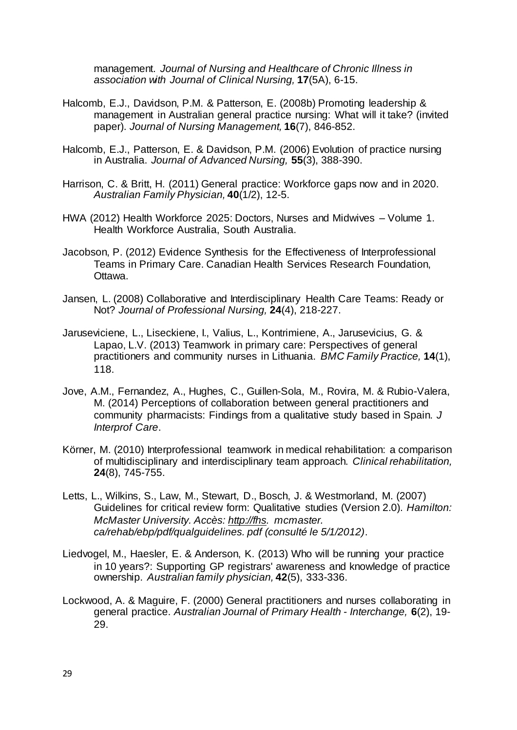management. *Journal of Nursing and Healthcare of Chronic Illness in association with Journal of Clinical Nursing,* **17**(5A), 6-15.

- <span id="page-30-12"></span><span id="page-30-11"></span>Halcomb, E.J., Davidson, P.M. & Patterson, E. (2008b) Promoting leadership & management in Australian general practice nursing: What will it take? (invited paper). *Journal of Nursing Management,* **16**(7), 846-852.
- <span id="page-30-5"></span>Halcomb, E.J., Patterson, E. & Davidson, P.M. (2006) Evolution of practice nursing in Australia. *Journal of Advanced Nursing,* **55**(3), 388-390.
- <span id="page-30-2"></span>Harrison, C. & Britt, H. (2011) General practice: Workforce gaps now and in 2020. *Australian Family Physician,* **40**(1/2), 12-5.
- <span id="page-30-0"></span>HWA (2012) Health Workforce 2025: Doctors, Nurses and Midwives – Volume 1. Health Workforce Australia, South Australia.
- <span id="page-30-1"></span>Jacobson, P. (2012) Evidence Synthesis for the Effectiveness of Interprofessional Teams in Primary Care. Canadian Health Services Research Foundation, Ottawa.
- <span id="page-30-4"></span>Jansen, L. (2008) Collaborative and Interdisciplinary Health Care Teams: Ready or Not? *Journal of Professional Nursing,* **24**(4), 218-227.
- <span id="page-30-8"></span>Jaruseviciene, L., Liseckiene, I., Valius, L., Kontrimiene, A., Jarusevicius, G. & Lapao, L.V. (2013) Teamwork in primary care: Perspectives of general practitioners and community nurses in Lithuania. *BMC Family Practice,* **14**(1), 118.
- <span id="page-30-13"></span><span id="page-30-10"></span>Jove, A.M., Fernandez, A., Hughes, C., Guillen-Sola, M., Rovira, M. & Rubio-Valera, M. (2014) Perceptions of collaboration between general practitioners and community pharmacists: Findings from a qualitative study based in Spain. *J Interprof Care*.
- <span id="page-30-6"></span>Körner, M. (2010) Interprofessional teamwork in medical rehabilitation: a comparison of multidisciplinary and interdisciplinary team approach. *Clinical rehabilitation,* **24**(8), 745-755.
- <span id="page-30-7"></span>Letts, L., Wilkins, S., Law, M., Stewart, D., Bosch, J. & Westmorland, M. (2007) Guidelines for critical review form: Qualitative studies (Version 2.0). *Hamilton: McMaster University. Accès: [http://fhs.](http://fhs/) mcmaster. ca/rehab/ebp/pdf/qualguidelines. pdf (consulté le 5/1/2012)*.
- <span id="page-30-3"></span>Liedvogel, M., Haesler, E. & Anderson, K. (2013) Who will be running your practice in 10 years?: Supporting GP registrars' awareness and knowledge of practice ownership. *Australian family physician,* **42**(5), 333-336.
- <span id="page-30-9"></span>Lockwood, A. & Maguire, F. (2000) General practitioners and nurses collaborating in general practice. *Australian Journal of Primary Health - Interchange,* **6**(2), 19- 29.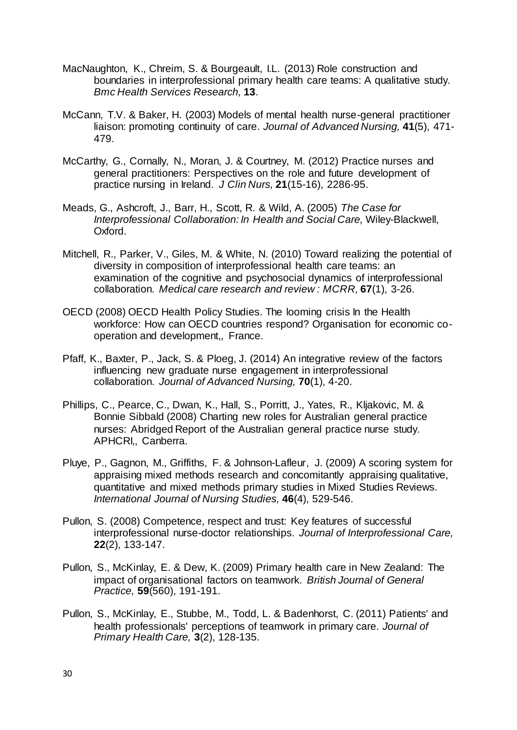- <span id="page-31-10"></span>MacNaughton, K., Chreim, S. & Bourgeault, I.L. (2013) Role construction and boundaries in interprofessional primary health care teams: A qualitative study. *Bmc Health Services Research,* **13**.
- <span id="page-31-4"></span>McCann, T.V. & Baker, H. (2003) Models of mental health nurse-general practitioner liaison: promoting continuity of care. *Journal of Advanced Nursing,* **41**(5), 471- 479.
- <span id="page-31-1"></span>McCarthy, G., Cornally, N., Moran, J. & Courtney, M. (2012) Practice nurses and general practitioners: Perspectives on the role and future development of practice nursing in Ireland. *J Clin Nurs,* **21**(15-16), 2286-95.
- <span id="page-31-3"></span>Meads, G., Ashcroft, J., Barr, H., Scott, R. & Wild, A. (2005) *The Case for Interprofessional Collaboration: In Health and Social Care,* Wiley-Blackwell, Oxford.
- <span id="page-31-2"></span>Mitchell, R., Parker, V., Giles, M. & White, N. (2010) Toward realizing the potential of diversity in composition of interprofessional health care teams: an examination of the cognitive and psychosocial dynamics of interprofessional collaboration. *Medical care research and review : MCRR,* **67**(1), 3-26.
- <span id="page-31-12"></span><span id="page-31-0"></span>OECD (2008) OECD Health Policy Studies. The looming crisis In the Health workforce: How can OECD countries respond? Organisation for economic cooperation and development,, France.
- <span id="page-31-13"></span><span id="page-31-6"></span>Pfaff, K., Baxter, P., Jack, S. & Ploeg, J. (2014) An integrative review of the factors influencing new graduate nurse engagement in interprofessional collaboration. *Journal of Advanced Nursing,* **70**(1), 4-20.
- <span id="page-31-14"></span><span id="page-31-11"></span>Phillips, C., Pearce, C., Dwan, K., Hall, S., Porritt, J., Yates, R., Kljakovic, M. & Bonnie Sibbald (2008) Charting new roles for Australian general practice nurses: Abridged Report of the Australian general practice nurse study. APHCRI,, Canberra.
- <span id="page-31-5"></span>Pluye, P., Gagnon, M., Griffiths, F. & Johnson-Lafleur, J. (2009) A scoring system for appraising mixed methods research and concomitantly appraising qualitative, quantitative and mixed methods primary studies in Mixed Studies Reviews. *International Journal of Nursing Studies,* **46**(4), 529-546.
- <span id="page-31-7"></span>Pullon, S. (2008) Competence, respect and trust: Key features of successful interprofessional nurse-doctor relationships. *Journal of Interprofessional Care,* **22**(2), 133-147.
- <span id="page-31-8"></span>Pullon, S., McKinlay, E. & Dew, K. (2009) Primary health care in New Zealand: The impact of organisational factors on teamwork. *British Journal of General Practice,* **59**(560), 191-191.
- <span id="page-31-9"></span>Pullon, S., McKinlay, E., Stubbe, M., Todd, L. & Badenhorst, C. (2011) Patients' and health professionals' perceptions of teamwork in primary care. *Journal of Primary Health Care,* **3**(2), 128-135.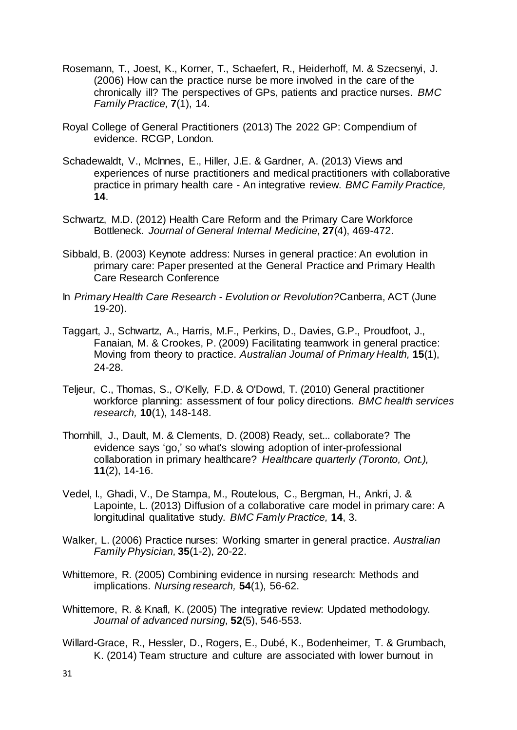- <span id="page-32-13"></span><span id="page-32-8"></span>Rosemann, T., Joest, K., Korner, T., Schaefert, R., Heiderhoff, M. & Szecsenyi, J. (2006) How can the practice nurse be more involved in the care of the chronically ill? The perspectives of GPs, patients and practice nurses. *BMC Family Practice,* **7**(1), 14.
- <span id="page-32-4"></span>Royal College of General Practitioners (2013) The 2022 GP: Compendium of evidence. RCGP, London.
- <span id="page-32-9"></span>Schadewaldt, V., McInnes, E., Hiller, J.E. & Gardner, A. (2013) Views and experiences of nurse practitioners and medical practitioners with collaborative practice in primary health care - An integrative review. *BMC Family Practice,* **14**.
- <span id="page-32-3"></span>Schwartz, M.D. (2012) Health Care Reform and the Primary Care Workforce Bottleneck. *Journal of General Internal Medicine,* **27**(4), 469-472.
- <span id="page-32-11"></span>Sibbald, B. (2003) Keynote address: Nurses in general practice: An evolution in primary care: Paper presented at the General Practice and Primary Health Care Research Conference
- <span id="page-32-14"></span>In *Primary Health Care Research - Evolution or Revolution?*Canberra, ACT (June 19-20).
- <span id="page-32-5"></span>Taggart, J., Schwartz, A., Harris, M.F., Perkins, D., Davies, G.P., Proudfoot, J., Fanaian, M. & Crookes, P. (2009) Facilitating teamwork in general practice: Moving from theory to practice. *Australian Journal of Primary Health,* **15**(1), 24-28.
- <span id="page-32-1"></span>Teljeur, C., Thomas, S., O'Kelly, F.D. & O'Dowd, T. (2010) General practitioner workforce planning: assessment of four policy directions. *BMC health services research,* **10**(1), 148-148.
- <span id="page-32-12"></span>Thornhill, J., Dault, M. & Clements, D. (2008) Ready, set... collaborate? The evidence says 'go,' so what's slowing adoption of inter-professional collaboration in primary healthcare? *Healthcare quarterly (Toronto, Ont.),* **11**(2), 14-16.
- <span id="page-32-7"></span>Vedel, I., Ghadi, V., De Stampa, M., Routelous, C., Bergman, H., Ankri, J. & Lapointe, L. (2013) Diffusion of a collaborative care model in primary care: A longitudinal qualitative study. *BMC Famly Practice,* **14**, 3.
- <span id="page-32-10"></span>Walker, L. (2006) Practice nurses: Working smarter in general practice. *Australian Family Physician,* **35**(1-2), 20-22.
- <span id="page-32-6"></span>Whittemore, R. (2005) Combining evidence in nursing research: Methods and implications. *Nursing research,* **54**(1), 56-62.
- <span id="page-32-0"></span>Whittemore, R. & Knafl, K. (2005) The integrative review: Updated methodology. *Journal of advanced nursing,* **52**(5), 546-553.
- <span id="page-32-2"></span>Willard-Grace, R., Hessler, D., Rogers, E., Dubé, K., Bodenheimer, T. & Grumbach, K. (2014) Team structure and culture are associated with lower burnout in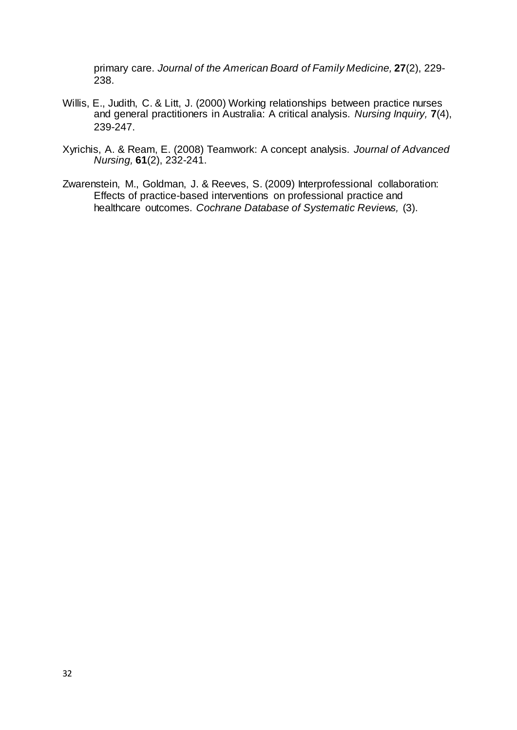<span id="page-33-3"></span>primary care. *Journal of the American Board of Family Medicine,* **27**(2), 229- 238.

- <span id="page-33-2"></span>Willis, E., Judith, C. & Litt, J. (2000) Working relationships between practice nurses and general practitioners in Australia: A critical analysis. *Nursing Inquiry,* **7**(4), 239-247.
- <span id="page-33-1"></span>Xyrichis, A. & Ream, E. (2008) Teamwork: A concept analysis. *Journal of Advanced Nursing,* **61**(2), 232-241.
- <span id="page-33-0"></span>Zwarenstein, M., Goldman, J. & Reeves, S. (2009) Interprofessional collaboration: Effects of practice-based interventions on professional practice and healthcare outcomes. *Cochrane Database of Systematic Reviews,* (3).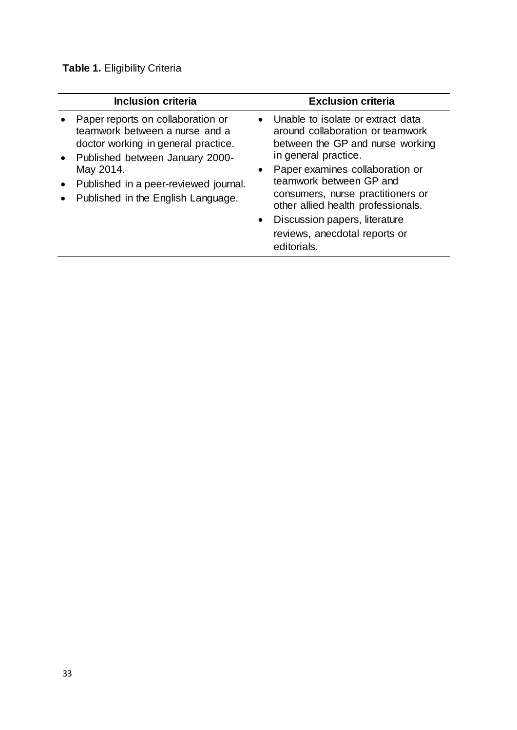# **Table 1.** Eligibility Criteria

| <b>Inclusion criteria</b>                                                                                                                                                                                                                   | <b>Exclusion criteria</b>                                                                                                                                                                                                                                                                                                                                                             |
|---------------------------------------------------------------------------------------------------------------------------------------------------------------------------------------------------------------------------------------------|---------------------------------------------------------------------------------------------------------------------------------------------------------------------------------------------------------------------------------------------------------------------------------------------------------------------------------------------------------------------------------------|
| Paper reports on collaboration or<br>teamwork between a nurse and a<br>doctor working in general practice.<br>• Published between January 2000-<br>May 2014.<br>Published in a peer-reviewed journal.<br>Published in the English Language. | Unable to isolate or extract data<br>around collaboration or teamwork<br>between the GP and nurse working<br>in general practice.<br>Paper examines collaboration or<br>$\bullet$<br>teamwork between GP and<br>consumers, nurse practitioners or<br>other allied health professionals.<br>Discussion papers, literature<br>$\bullet$<br>reviews, anecdotal reports or<br>editorials. |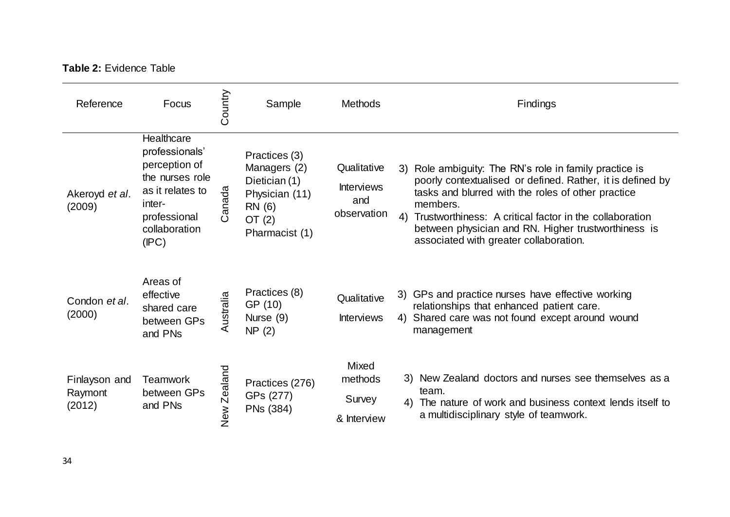# **Table 2:** Evidence Table

| Reference                          | Focus                                                                                                                                    | Country     | Sample                                                                                                   | <b>Methods</b>                                         | Findings                                                                                                                                                                                                                                                                                                                                              |
|------------------------------------|------------------------------------------------------------------------------------------------------------------------------------------|-------------|----------------------------------------------------------------------------------------------------------|--------------------------------------------------------|-------------------------------------------------------------------------------------------------------------------------------------------------------------------------------------------------------------------------------------------------------------------------------------------------------------------------------------------------------|
| Akeroyd et al.<br>(2009)           | Healthcare<br>professionals'<br>perception of<br>the nurses role<br>as it relates to<br>inter-<br>professional<br>collaboration<br>(IPC) | Canada      | Practices (3)<br>Managers (2)<br>Dietician (1)<br>Physician (11)<br>RN (6)<br>OT $(2)$<br>Pharmacist (1) | Qualitative<br><b>Interviews</b><br>and<br>observation | 3) Role ambiguity: The RN's role in family practice is<br>poorly contextualised or defined. Rather, it is defined by<br>tasks and blurred with the roles of other practice<br>members.<br>4) Trustworthiness: A critical factor in the collaboration<br>between physician and RN. Higher trustworthiness is<br>associated with greater collaboration. |
| Condon et al.<br>(2000)            | Areas of<br>effective<br>shared care<br>between GPs<br>and PNs                                                                           | Australia   | Practices (8)<br>GP (10)<br>Nurse (9)<br>NP(2)                                                           | Qualitative<br><b>Interviews</b>                       | 3) GPs and practice nurses have effective working<br>relationships that enhanced patient care.<br>4) Shared care was not found except around wound<br>management                                                                                                                                                                                      |
| Finlayson and<br>Raymont<br>(2012) | <b>Teamwork</b><br>between GPs<br>and PNs                                                                                                | New Zealand | Practices (276)<br>GPs (277)<br>PNs (384)                                                                | Mixed<br>methods<br>Survey<br>& Interview              | 3) New Zealand doctors and nurses see themselves as a<br>team.<br>4) The nature of work and business context lends itself to<br>a multidisciplinary style of teamwork.                                                                                                                                                                                |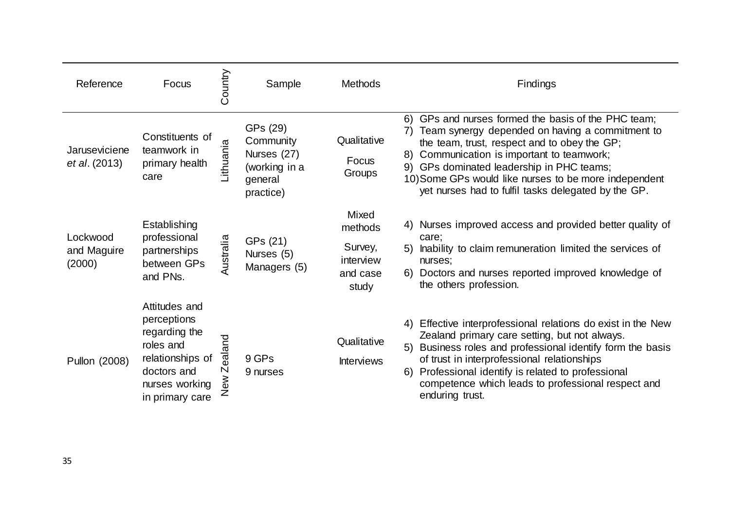| Reference                         | Focus                                                                                                                              | Country                                  | Sample                                                                        | <b>Methods</b>                                                | Findings                                                                                                                                                                                                                                                                                                                                                                |
|-----------------------------------|------------------------------------------------------------------------------------------------------------------------------------|------------------------------------------|-------------------------------------------------------------------------------|---------------------------------------------------------------|-------------------------------------------------------------------------------------------------------------------------------------------------------------------------------------------------------------------------------------------------------------------------------------------------------------------------------------------------------------------------|
| Jaruseviciene<br>et al. (2013)    | Constituents of<br>teamwork in<br>primary health<br>care                                                                           | Lithuania                                | GPs (29)<br>Community<br>Nurses (27)<br>(working in a<br>general<br>practice) | Qualitative<br>Focus<br>Groups                                | 6) GPs and nurses formed the basis of the PHC team;<br>7) Team synergy depended on having a commitment to<br>the team, trust, respect and to obey the GP;<br>Communication is important to teamwork;<br>8)<br>9) GPs dominated leadership in PHC teams;<br>10) Some GPs would like nurses to be more independent<br>yet nurses had to fulfil tasks delegated by the GP. |
| Lockwood<br>and Maguire<br>(2000) | Establishing<br>professional<br>partnerships<br>between GPs<br>and PNs.                                                            | Australia                                | GPs (21)<br>Nurses (5)<br>Managers (5)                                        | Mixed<br>methods<br>Survey,<br>interview<br>and case<br>study | 4) Nurses improved access and provided better quality of<br>care;<br>5) Inability to claim remuneration limited the services of<br>nurses;<br>6) Doctors and nurses reported improved knowledge of<br>the others profession.                                                                                                                                            |
| Pullon (2008)                     | Attitudes and<br>perceptions<br>regarding the<br>roles and<br>relationships of<br>doctors and<br>nurses working<br>in primary care | ealand<br>$\overline{\mathsf{N}}$<br>New | 9 GPs<br>9 nurses                                                             | Qualitative<br><b>Interviews</b>                              | 4) Effective interprofessional relations do exist in the New<br>Zealand primary care setting, but not always.<br>Business roles and professional identify form the basis<br>5)<br>of trust in interprofessional relationships<br>Professional identify is related to professional<br>6)<br>competence which leads to professional respect and<br>enduring trust.        |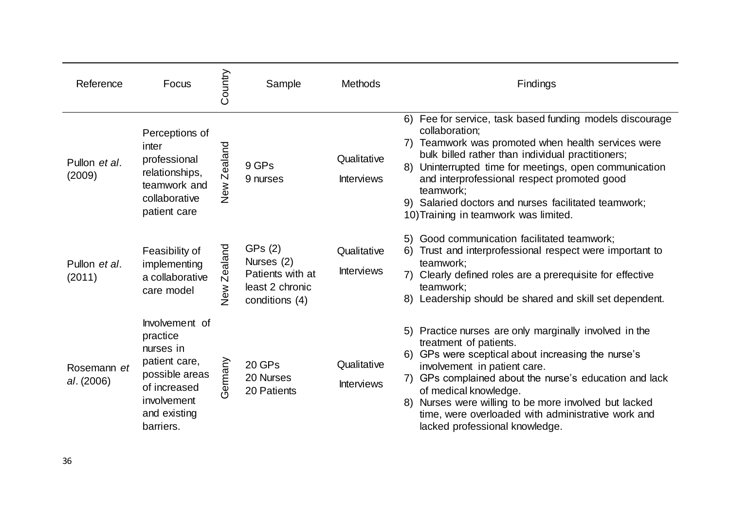| Reference                 | Focus                                                                                                                                  | Country        | Sample                                                                        | <b>Methods</b>                   | Findings                                                                                                                                                                                                                                                                                                                                                                                                         |
|---------------------------|----------------------------------------------------------------------------------------------------------------------------------------|----------------|-------------------------------------------------------------------------------|----------------------------------|------------------------------------------------------------------------------------------------------------------------------------------------------------------------------------------------------------------------------------------------------------------------------------------------------------------------------------------------------------------------------------------------------------------|
| Pullon et al.<br>(2009)   | Perceptions of<br>inter<br>professional<br>relationships,<br>teamwork and<br>collaborative<br>patient care                             | Zealand<br>New | 9 GPs<br>9 nurses                                                             | Qualitative<br><b>Interviews</b> | 6) Fee for service, task based funding models discourage<br>collaboration;<br>7) Teamwork was promoted when health services were<br>bulk billed rather than individual practitioners;<br>Uninterrupted time for meetings, open communication<br>8)<br>and interprofessional respect promoted good<br>teamwork;<br>9) Salaried doctors and nurses facilitated teamwork;<br>10) Training in teamwork was limited.  |
| Pullon et al.<br>(2011)   | Feasibility of<br>implementing<br>a collaborative<br>care model                                                                        | Zealand<br>New | GPs(2)<br>Nurses (2)<br>Patients with at<br>least 2 chronic<br>conditions (4) | Qualitative<br><b>Interviews</b> | Good communication facilitated teamwork;<br>5)<br>6)<br>Trust and interprofessional respect were important to<br>teamwork;<br>Clearly defined roles are a prerequisite for effective<br>teamwork;<br>8) Leadership should be shared and skill set dependent.                                                                                                                                                     |
| Rosemann et<br>al. (2006) | Involvement of<br>practice<br>nurses in<br>patient care,<br>possible areas<br>of increased<br>involvement<br>and existing<br>barriers. | Germany        | 20 GPs<br>20 Nurses<br>20 Patients                                            | Qualitative<br><b>Interviews</b> | Practice nurses are only marginally involved in the<br>5)<br>treatment of patients.<br>6) GPs were sceptical about increasing the nurse's<br>involvement in patient care.<br>7) GPs complained about the nurse's education and lack<br>of medical knowledge.<br>Nurses were willing to be more involved but lacked<br>8)<br>time, were overloaded with administrative work and<br>lacked professional knowledge. |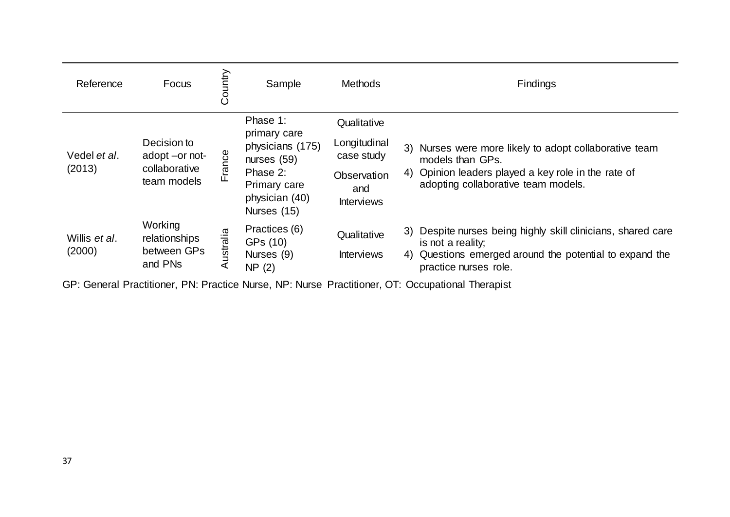| Reference                       | Focus                                                         | Country   | Sample                                                                                                                     | <b>Methods</b>                                                                       | Findings                                                                                                                                                                 |
|---------------------------------|---------------------------------------------------------------|-----------|----------------------------------------------------------------------------------------------------------------------------|--------------------------------------------------------------------------------------|--------------------------------------------------------------------------------------------------------------------------------------------------------------------------|
| Vedel et al.<br>(2013)          | Decision to<br>adopt -or not-<br>collaborative<br>team models | France    | Phase 1:<br>primary care<br>physicians (175)<br>nurses $(59)$<br>Phase 2:<br>Primary care<br>physician (40)<br>Nurses (15) | Qualitative<br>Longitudinal<br>case study<br>Observation<br>and<br><b>Interviews</b> | 3) Nurses were more likely to adopt collaborative team<br>models than GPs.<br>4) Opinion leaders played a key role in the rate of<br>adopting collaborative team models. |
| Willis <i>et al</i> .<br>(2000) | Working<br>relationships<br>between GPs<br>and PNs            | Australia | Practices (6)<br>GPs (10)<br>Nurses (9)<br>NP(2)                                                                           | Qualitative<br><b>Interviews</b>                                                     | 3) Despite nurses being highly skill clinicians, shared care<br>is not a reality;<br>4) Questions emerged around the potential to expand the<br>practice nurses role.    |

GP: General Practitioner, PN: Practice Nurse, NP: Nurse Practitioner, OT: Occupational Therapist